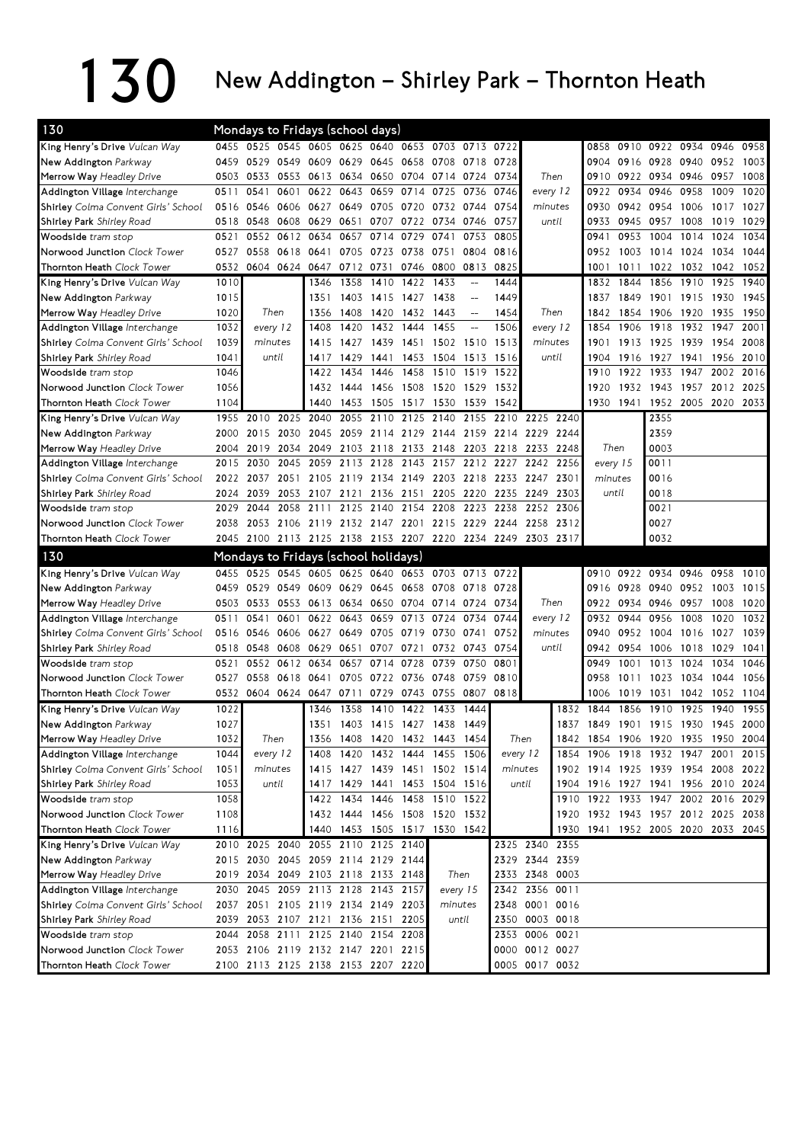## $130$  New Addington – Shirley Park – Thornton Heath

| 130                                 |      | Mondays to Fridays (school days)             |           |                               |                     |                |           |                               |                                                     |                     |                                                             |      |                                    |           |                     |      |           |      |
|-------------------------------------|------|----------------------------------------------|-----------|-------------------------------|---------------------|----------------|-----------|-------------------------------|-----------------------------------------------------|---------------------|-------------------------------------------------------------|------|------------------------------------|-----------|---------------------|------|-----------|------|
| King Henry's Drive Vulcan Way       | 0455 | 0525 0545 0605 0625 0640 0653 0703 0713 0722 |           |                               |                     |                |           |                               |                                                     |                     |                                                             |      |                                    |           | 0858 0910 0922 0934 |      | 0946      | 0958 |
| New Addington Parkway               | 0459 | 0529                                         | 0549 0609 |                               |                     | 0629 0645 0658 |           | 0708                          | 0718                                                | 0728                |                                                             |      |                                    | 0904 0916 | 0928 0940           |      | 0952      | 1003 |
| Merrow Way Headley Drive            | 0503 | 0533                                         |           | 0553 0613 0634 0650 0704      |                     |                |           | 0714 0724                     |                                                     | 0734                | Then                                                        |      |                                    |           | 0910 0922 0934 0946 |      | 0957      | 1008 |
| Addington Village Interchange       | 0511 | 0541                                         | 0601      | 0622                          | 0643                | 0659           | 0714      | 0725                          | 0736                                                | 0746                | every 12                                                    |      | 0922                               | 0934      | 0946                | 0958 | 1009      | 1020 |
| Shirley Colma Convent Girls' School | 0516 | 0546                                         |           | 0606 0627 0649 0705 0720      |                     |                |           | 0732 0744                     |                                                     | 0754                | minutes                                                     |      | 0930                               | 0942 0954 |                     | 1006 | 1017      | 1027 |
| Shirley Park Shirley Road           | 0518 | 0548                                         |           | 0608 0629                     | 0651                | 0707 0722      |           | 0734 0746                     |                                                     | 0757                | until                                                       |      | 0933                               | 0945 0957 |                     | 1008 | 1019      | 1029 |
| Woodside tram stop                  | 0521 | 0552                                         | 0612      | 0634                          | 0657                | 0714           | 0729      | 0741                          | 0753                                                | 0805                |                                                             |      | 0941                               | 0953      | 1004                | 1014 | 1024      | 1034 |
| Norwood Junction Clock Tower        | 0527 | 0558                                         |           | 0618 0641                     |                     | 0705 0723      | 0738      | 0751                          | 0804                                                | 0816                |                                                             |      | 0952                               |           | 1003 1014 1024      |      | 1034      | 1044 |
| Thornton Heath Clock Tower          | 0532 |                                              |           | 0604 0624 0647                | 0712 0731           |                | 0746      | 0800                          | 0813                                                | 0825                |                                                             |      | 1001                               | 1011      | 1022 1032           |      | 1042      | 1052 |
| King Henry's Drive Vulcan Way       | 1010 |                                              |           | 1346                          | 1358                | 1410           | 1422      | 1433                          | $-$                                                 | 1444                |                                                             |      | 1832                               | 1844      | 1856                | 1910 | 1925      | 1940 |
| New Addington Parkway               | 1015 |                                              |           | 1351                          | 1403                | 1415           | 1427      | 1438                          | $-$                                                 | 1449                |                                                             |      | 1837                               | 1849      | 1901                | 1915 | 1930      | 1945 |
| Merrow Way Headley Drive            | 1020 | Then                                         |           | 1356                          | 1408                | 1420           | 1432      | 1443                          | $\hspace{0.05cm} -\hspace{0.05cm} -\hspace{0.05cm}$ | 1454                | Then                                                        |      | 1842                               | 1854      | 1906                | 1920 | 1935      | 1950 |
| Addington Village Interchange       | 1032 | every 12                                     |           | 1408                          | 1420                | 1432           | 1444      | 1455                          | $-$                                                 | 1506                | every 12                                                    |      | 1854                               | 1906      | 1918                | 1932 | 1947      | 2001 |
| Shirley Colma Convent Girls' School | 1039 | minutes                                      |           | 1415                          | 1427                |                | 1439 1451 | 1502 1510                     |                                                     | 1513                | minutes                                                     |      | 1901                               | 1913      | 1925 1939           |      | 1954      | 2008 |
| <b>Shirley Park</b> Shirley Road    | 1041 | until                                        |           | 1417                          | 1429                | 1441 1453      |           | 1504 1513                     |                                                     | 1516                | until                                                       |      | 1904                               | 1916      | 1927 1941           |      | 1956      | 2010 |
| Woodside tram stop                  | 1046 |                                              |           | 1422                          | 1434                | 1446           | 1458      | 1510 1519                     |                                                     | 1522                |                                                             |      | 1910                               | 1922      | 1933                | 1947 | 2002      | 2016 |
| Norwood Junction Clock Tower        | 1056 |                                              |           | 1432                          | 1444                |                | 1456 1508 | 1520 1529                     |                                                     | 1532                |                                                             |      | 1920                               |           | 1932 1943           | 1957 | 2012      | 2025 |
| Thornton Heath Clock Tower          | 1104 |                                              |           | 1440                          | 1453                | 1505           | 1517      | 1530                          | 1539                                                | 1542                |                                                             |      | 1930                               | 1941      | 1952 2005           |      | 2020      | 2033 |
| King Henry's Drive Vulcan Way       | 1955 | 2010                                         | 2025      | 2040                          | 2055                | 2110           | 2125      | 2140                          | 2155                                                | 2210                | 2225                                                        | 2240 |                                    |           | 2355                |      |           |      |
| New Addington Parkway               | 2000 | 2015                                         | 2030      | 2045                          |                     | 2059 2114 2129 |           |                               |                                                     | 2144 2159 2214 2229 |                                                             | 2244 |                                    |           | 2359                |      |           |      |
| Merrow Way Headley Drive            | 2004 | 2019                                         | 2034      | 2049                          |                     | 2103 2118      | 2133      | 2148                          | 2203                                                | 2218                | 2233 2248                                                   |      | Then                               |           | 0003                |      |           |      |
| Addington Village Interchange       | 2015 | 2030                                         | 2045      | 2059                          |                     | 2113 2128      | 2143      |                               |                                                     |                     | 2157 2212 2227 2242 2256                                    |      | every 15                           |           | 0011                |      |           |      |
| Shirley Colma Convent Girls' School | 2022 | 2037                                         |           | 2051 2105                     | 2119 2134 2149      |                |           |                               |                                                     | 2203 2218 2233 2247 |                                                             | 2301 | minutes                            |           | 0016                |      |           |      |
| <b>Shirley Park</b> Shirley Road    | 2024 | 2039                                         |           | 2053 2107                     | 2121                | 2136 2151      |           |                               | 2205 2220                                           | 2235 2249           |                                                             | 2303 | until                              |           | 0018                |      |           |      |
| Woodside tram stop                  | 2029 | 2044                                         |           | 2058 2111                     |                     | 2125 2140      | 2154      | 2208                          | 2223                                                | 2238                | 2252                                                        | 2306 |                                    |           | 0021                |      |           |      |
| Norwood Junction Clock Tower        | 2038 | 2053                                         | 2106 2119 |                               | 2132 2147 2201      |                |           |                               | 2215 2229                                           | 2244                | 2258                                                        | 2312 |                                    |           | 0027                |      |           |      |
| Thornton Heath Clock Tower          |      |                                              |           |                               |                     |                |           |                               |                                                     |                     | 2045 2100 2113 2125 2138 2153 2207 2220 2234 2249 2303 2317 |      |                                    |           | 0032                |      |           |      |
|                                     |      |                                              |           |                               |                     |                |           |                               |                                                     |                     |                                                             |      |                                    |           |                     |      |           |      |
| 130                                 |      | Mondays to Fridays (school holidays)         |           |                               |                     |                |           |                               |                                                     |                     |                                                             |      |                                    |           |                     |      |           |      |
| King Henry's Drive Vulcan Way       | 0455 | 0525                                         |           | 0545 0605                     |                     |                |           | 0625 0640 0653 0703 0713      |                                                     | 0722                |                                                             |      |                                    | 0910 0922 | 0934 0946           |      | 0958      | 1010 |
| New Addington Parkway               | 0459 | 0529                                         | 0549 0609 |                               | 0629 0645 0658      |                |           | 0708 0718                     |                                                     | 0728                |                                                             |      | 0916                               | 0928      | 0940 0952           |      | 1003      | 1015 |
| Merrow Way Headley Drive            | 0503 | 0533                                         | 0553 0613 |                               | 0634 0650 0704      |                |           | 0714 0724                     |                                                     | 0734                | Then                                                        |      |                                    | 0922 0934 | 0946 0957           |      | 1008      | 1020 |
| Addington Village Interchange       | 0511 | 0541                                         | 0601      | 0622                          | 0643                | 0659           | 0713      | 0724                          | 0734                                                | 0744                | every 12                                                    |      | 0932 0944                          |           | 0956                | 1008 | 1020      | 1032 |
| Shirley Colma Convent Girls' School | 0516 | 0546                                         | 0606 0627 |                               | 0649                | 0705           | 0719      | 0730                          | 0741                                                | 0752                | minutes                                                     |      | 0940                               | 0952      | 1004                | 1016 | 1027      | 1039 |
| <b>Shirley Park</b> Shirley Road    | 0518 | 0548                                         | 0608 0629 |                               | 0651                | 0707           | 0721      | 0732 0743                     |                                                     | 0754                | until                                                       |      | 0942 0954                          |           | 1006                | 1018 | 1029      | 1041 |
| Woodside tram stop                  | 0521 | 0552                                         | 0612      | 0634                          | 0657                | 0714           | 0728      | 0739                          | 0750                                                | 0801                |                                                             |      | 0949                               | 1001      | 1013                | 1024 | 1034      | 1046 |
| Norwood Junction Clock Tower        | 0527 | 0558                                         |           | 0618 0641                     |                     | 0705 0722 0736 |           | 0748                          | 0759                                                | 0810                |                                                             |      | 0958                               | 1011      | 1023                | 1034 | 1044      | 1056 |
| Thornton Heath Clock Tower          |      | 0532 0604 0624 0647                          |           |                               | 0711                |                |           | 0729 0743 0755 0807           |                                                     | 0818                |                                                             |      | 1006                               | 1019      | 1031                | 1042 | 1052      | 1104 |
| King Henry's Drive Vulcan Way       | 1022 |                                              |           | 1346                          | 1358                | 1410 1422      |           | 1433                          | 1444                                                |                     |                                                             |      | 1832 1844                          | 1856      | 1910                | 1925 | 1940      | 1955 |
| New Addington Parkway               | 1027 |                                              |           | 1351                          |                     |                |           | 1403 1415 1427 1438 1449      |                                                     |                     |                                                             | 1837 | 1849                               |           | 1901 1915 1930      |      | 1945 2000 |      |
| Merrow Way Headley Drive            | 1032 | Then                                         |           | 1356                          |                     |                |           | 1408 1420 1432 1443 1454      |                                                     |                     | Then                                                        |      | 1842 1854 1906 1920 1935 1950 2004 |           |                     |      |           |      |
| Addington Village Interchange       | 1044 | every 12                                     |           | 1408                          |                     |                |           | 1420 1432 1444 1455 1506      |                                                     | every 12            |                                                             |      | 1854 1906 1918 1932 1947           |           |                     |      | 2001      | 2015 |
| Shirley Colma Convent Girls' School | 1051 | minutes                                      |           |                               |                     |                |           | 1415 1427 1439 1451 1502 1514 |                                                     |                     | minutes                                                     |      | 1902 1914 1925 1939 1954 2008 2022 |           |                     |      |           |      |
| Shirley Park Shirley Road           | 1053 |                                              | until     | 1417                          |                     |                |           | 1429 1441 1453 1504 1516      |                                                     |                     | until                                                       |      | 1904 1916 1927 1941 1956 2010 2024 |           |                     |      |           |      |
| Woodside tram stop                  | 1058 |                                              |           |                               | 1422 1434 1446 1458 |                |           | 1510 1522                     |                                                     |                     |                                                             |      | 1910 1922 1933 1947 2002 2016 2029 |           |                     |      |           |      |
| Norwood Junction Clock Tower        | 1108 |                                              |           |                               |                     |                |           | 1432 1444 1456 1508 1520 1532 |                                                     |                     |                                                             |      | 1920 1932 1943 1957 2012 2025 2038 |           |                     |      |           |      |
| Thornton Heath Clock Tower          | 1116 |                                              |           |                               |                     |                |           | 1440 1453 1505 1517 1530 1542 |                                                     |                     |                                                             |      | 1930 1941 1952 2005 2020 2033 2045 |           |                     |      |           |      |
| King Henry's Drive Vulcan Way       |      | 2010 2025 2040 2055 2110 2125 2140           |           |                               |                     |                |           |                               |                                                     |                     | 2325 2340 2355                                              |      |                                    |           |                     |      |           |      |
| New Addington Parkway               |      | 2015 2030 2045 2059 2114 2129 2144           |           |                               |                     |                |           |                               |                                                     |                     | 2329 2344 2359                                              |      |                                    |           |                     |      |           |      |
| Merrow Way Headley Drive            |      | 2019 2034 2049 2103 2118 2133 2148           |           |                               |                     |                |           | Then                          |                                                     |                     | 2333 2348 0003                                              |      |                                    |           |                     |      |           |      |
| Addington Village Interchange       |      | 2030 2045 2059 2113 2128 2143 2157           |           |                               |                     |                |           | every 15                      |                                                     |                     | 2342 2356 0011                                              |      |                                    |           |                     |      |           |      |
| Shirley Colma Convent Girls' School |      | 2037 2051 2105 2119 2134 2149 2203           |           |                               |                     |                |           | minutes                       |                                                     |                     | 2348 0001 0016                                              |      |                                    |           |                     |      |           |      |
| Shirley Park Shirley Road           | 2039 |                                              |           | 2053 2107 2121 2136 2151 2205 |                     |                |           |                               | until                                               |                     | 2350 0003 0018                                              |      |                                    |           |                     |      |           |      |
| Woodside tram stop                  |      | 2044 2058 2111 2125 2140 2154 2208           |           |                               |                     |                |           |                               |                                                     |                     | 2353 0006 0021                                              |      |                                    |           |                     |      |           |      |
| Norwood Junction Clock Tower        |      | 2053 2106 2119 2132 2147 2201 2215           |           |                               |                     |                |           |                               |                                                     |                     | 0000 0012 0027                                              |      |                                    |           |                     |      |           |      |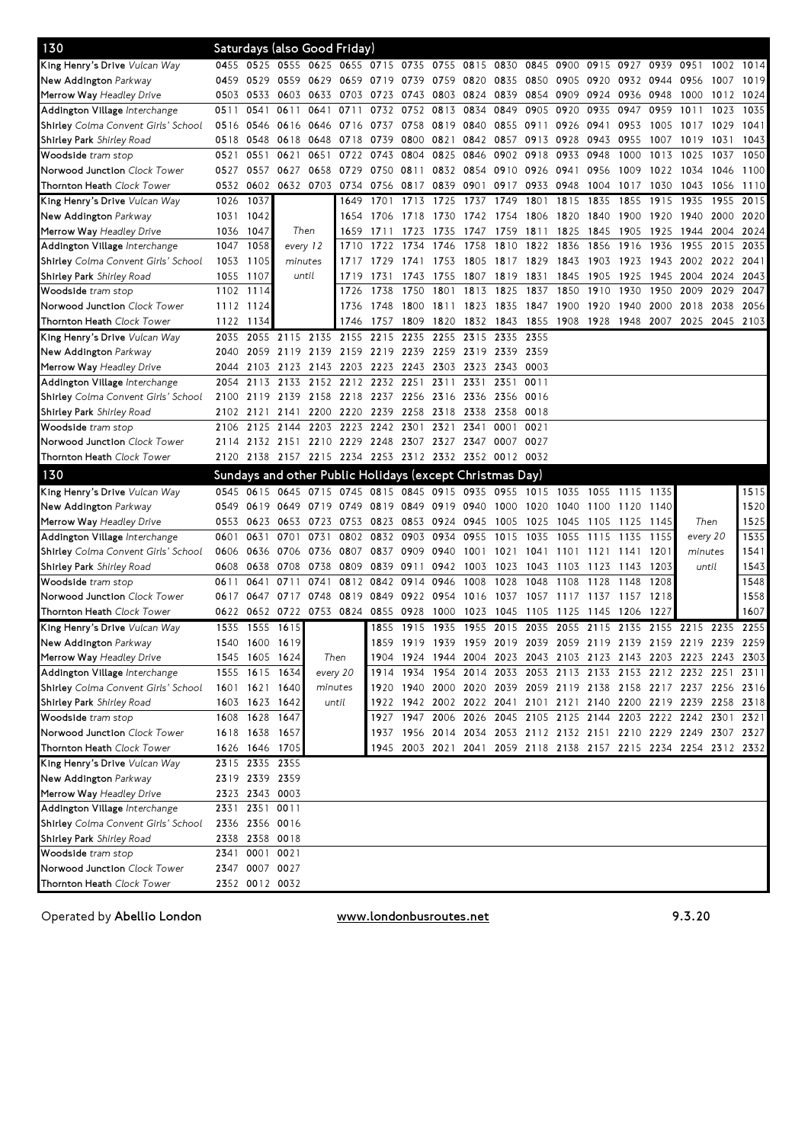| 0455 0525 0555 0625 0655 0715 0735 0755 0815 0830<br>King Henry's Drive <i>Vulcan Way</i><br>0845 0900 0915 0927<br>0939 0951<br>1002 1014<br>New Addington Parkway<br>0459<br>0529<br>0559 0629<br>0659 0719 0739<br>0759 0820<br>0835<br>0850<br>0905 0920<br>0932 0944 0956<br>1019<br>1007<br>0603 0633<br>0839<br>0854<br>0909 0924<br>0936<br>0503<br>0533<br>0703 0723 0743<br>0803 0824<br>0948<br>1000<br>1012<br>1024<br><b>Merrow Way</b> Headley Drive<br>0611<br>0641<br>0752<br>0813<br>0834<br>0849<br>0905<br>0920<br>0935<br>0959<br>1011<br>1035<br>Addington Village Interchange<br>0511<br>0541<br>0711<br>0732<br>0947<br>1023<br>0758<br>0819 0840<br>0855 0911<br>Shirley Colma Convent Girls' School<br>0546<br>0616 0646<br>0716 0737<br>0926 0941<br>0953<br>1005<br>1017 1029<br>1041<br>0516<br>0618 0648<br>0718 0739<br>0800<br>0821<br>0842<br>0857 0913<br>0928<br>0943<br>0955<br>1007<br>1043<br>0518<br>0548<br>1019<br>1031<br><b>Shirley Park</b> Shirley Road<br>0551<br>0621<br>0651<br>0722 0743<br>0804<br>0825<br>0846<br>0902 0918<br>0933<br>0948<br>1000<br>1013<br>1025<br>1050<br>0521<br>1037<br><b>Woodside</b> tram stop<br>0627 0658<br>0729 0750 0811<br>0832 0854 0910 0926 0941<br>0956<br>1009<br><b>Norwood Junction</b> Clock Tower<br>0527<br>0557<br>1022 1034<br>1046<br>1100<br>0602<br>0632 0703 0734<br>0756 0817<br><b>Thornton Heath</b> Clock Tower<br>0532<br>0839 0901<br>0917 0933<br>0948<br>1004<br>1017<br>1030<br>1043<br>1056<br>1110<br>1037<br>1026<br>1649<br>1701<br>1713<br>1725<br>1737<br>1749<br>1801<br>1815<br>1835<br>1855<br>1915<br>1935<br>1955<br>2015<br>King Henry's Drive <i>Vulcan Way</i><br>1042<br>2020<br>New Addington Parkway<br>1031<br>1706<br>1718<br>1730<br>1742<br>1754<br>1806<br>1820<br>1840<br>1900<br>1920<br>1940<br>2000<br>1654<br><b>Merrow Way</b> Headley Drive<br>1036<br>1047<br>Then<br>1723<br>1747<br>1759<br>1811<br>1825<br>1845<br>1905<br>1925<br>1944<br>2004<br>2024<br>1659<br>1711<br>1735<br>1047<br>1058<br>1758<br>1822<br>1916<br>1955<br>2015<br>2035<br>every 12<br>1710<br>1734<br>1746<br>1810<br>1836<br>1856<br>1936<br>Addington Village <i>Interchange</i><br>1722<br><b>Shirley</b> Colma Convent Girls' School<br>1053<br>1105<br>1741<br>1753<br>1805 1817 1829 1843<br>1903<br>1923<br>1943 2002<br>2022 2041<br>minutes<br>1717<br>1729<br>until<br>1055<br>1107<br>1819<br>1925<br>1945<br>2004<br>2024<br>2043<br><b>Shirley Park</b> Shirley Road<br>1719<br>1731<br>1743<br>1755<br>1807<br>1831<br>1845<br>1905<br>2009<br>1102<br>1738<br>1750<br>1801<br>1813<br>1825<br>1837<br>1850<br>1910<br>1930<br>1950<br>2029<br>2047<br>1114<br><b>Woodside</b> tram stop<br>1726<br>1823<br>1835<br>2056<br><b>Norwood Junction</b> Clock Tower<br>1112 1124<br>1748<br>1800<br>1811<br>1847<br>1900<br>1920<br>1940<br>2000 2018<br>2038<br>1736<br>1122<br>1843<br>1855<br>1908<br>1928<br>1948<br>2025<br>2045<br>2103<br><b>Thornton Heath</b> Clock Tower<br>1134<br>1757<br>1809<br>1820<br>1832<br>2007<br>1746<br>2115 2135<br>2155<br>2235<br>2255<br>2315<br>2335<br>2355<br>King Henry's Drive <i>Vulcan Way</i><br>2035<br>2055<br>2215<br>2119 2139<br>2159 2219 2239<br>2259 2319 2339<br>2359<br>New Addington Parkway<br>2040<br>2059<br>0003<br><b>Merrow Way</b> Headley Drive<br>2103<br>2123 2143<br>2203 2223 2243<br>2303 2323 2343<br>2044<br>2133 2152 2212 2232 2251<br>2311 2331<br>2351<br>0011<br>Addington Village Interchange<br>2054<br>2113<br>2139 2158<br>2218 2237<br>2256<br>Shirley Colma Convent Girls' School<br>2100<br>2119<br>2316<br>2336 2356<br>0016<br>2121<br>2141 2200<br>2220 2239<br>2258<br>2318 2338<br>2358<br>0018<br><b>Shirley Park</b> Shirley Road<br>2102<br>2144<br>2203<br>2223<br>2242<br>2301<br>2125<br>2321<br>2341<br>0001<br>0021<br><b>Woodside</b> tram stop<br>2106<br><b>Norwood Junction</b> Clock Tower<br>2151 2210<br>2229 2248 2307<br>2327<br>2347<br>0007 0027<br>2114<br>2132<br>2138 2157 2215 2234 2253 2312 2332 2352 0012 0032<br><b>Thornton Heath</b> Clock Tower<br>2120<br>130<br>Sundays and other Public Holidays (except Christmas Day)<br>King Henry's Drive Vulcan Way<br>0615<br>0645 0715<br>0745<br>0815 0845<br>0915<br>0935<br>0955 1015<br>1035<br>1515<br>0545<br>1055<br>1135<br>1115<br>1520<br>0819 0849<br>0919 0940<br>New Addington Parkway<br>0619<br>0649<br>0719<br>0749<br>1000<br>1020<br>1040<br>0549<br>1100<br>1120<br>1140<br>1525<br><b>Merrow Way</b> Headley Drive<br>0623<br>0653 0723<br>0753 0823 0853<br>0924 0945<br>1005<br>1025 1045<br>Then<br>0553<br>1105<br>1125<br>-1145<br>1535<br>0701 0731<br>0802<br>0832 0903<br>0934<br>0955<br>1015<br>every 20<br>Addington Village Interchange<br>0601<br>0631<br>1035<br>1055<br>1115<br>1135<br>1155<br>0706 0736<br>0807<br>0837<br>1541<br><b>Shirley</b> Colma Convent Girls' School<br>0606<br>0636<br>0909<br>0940<br>1001<br>1021<br>1041<br>1101<br>1121<br>1141<br>1201<br>minutes<br>1543<br>0809<br>1023<br>until<br>0608<br>0638<br>0708<br>0738<br>0839 0911<br>0942 1003<br>1043<br>1103<br>1123<br>1143<br>1203<br><b>Shirley Park</b> Shirley Road<br>0741<br>0812 0842<br>0914<br>0946<br>1008<br>1028<br>1048<br>1108<br>1548<br>0641<br>0711<br>1128<br>1148<br>1208<br><b>Woodside</b> tram stop<br>0611<br>1558<br>0717 0748<br><b>Norwood Junction</b> Clock Tower<br>0617<br>0647<br>0819 0849 0922<br>0954<br>1016<br>1037<br>1057<br>1117<br>1137<br>1157<br>1218<br>1607<br>0652 0722 0753 0824 0855 0928<br>1023<br>1045<br>1206<br><b>Thornton Heath</b> Clock Tower<br>0622<br>1000<br>1105<br>1125 1145<br>1227<br>2255<br>1535<br>1555<br>1615<br>1855 1915<br>1935 1955 2015 2035 2055 2115 2135<br>2155 2215<br>2235<br>King Henry's Drive <i>Vulcan Way</i><br>1600 1619<br>1859 1919<br>1939 1959 2019 2039 2059 2119 2139 2159 2219 2239 2259<br>New Addington Parkway<br>1540<br>1545 1605 1624<br>1904 1924 1944 2004 2023 2043 2103 2123 2143 2203 2223 2243 2303<br>Merrow Way Headley Drive<br>Then<br>1914 1934 1954 2014 2033 2053 2113 2133 2153 2212 2232 2251<br>1555 1615 1634<br>every 20<br>Addington Village Interchange<br>2311<br>1601 1621 1640<br>1920 1940 2000 2020 2039 2059 2119 2138 2158 2217 2237 2256 2316<br><b>Shirley</b> Colma Convent Girls' School<br>minutes<br>1922 1942 2002 2022 2041 2101 2121 2140 2200 2219 2239 2258 2318<br>Shirley Park <i>Shirley Road</i><br>1603 1623 1642<br>until<br>1608 1628 1647<br>1927 1947 2006 2026 2045 2105 2125 2144 2203 2222 2242 2301 2321<br><b>Woodside</b> tram stop<br>1937 1956 2014 2034 2053 2112 2132 2151 2210 2229 2249 2307 2327<br>Norwood Junction Clock Tower<br>1618 1638 1657<br>Thornton Heath Clock Tower<br>1626 1646 1705<br>1945 2003 2021 2041 2059 2118 2138 2157 2215 2234 2254 2312 2332<br>King Henry's Drive Vulcan Way<br>2315 2335 2355<br>New Addington Parkway<br>2319 2339 2359<br>2323 2343 0003<br>Merrow Way Headley Drive<br>2331 2351 0011<br>Addington Village Interchange<br>Shirley Colma Convent Girls' School<br>2336 2356 0016<br>2338 2358 0018<br>Shirley Park <i>Shirley Road</i><br><b>Woodside</b> tram stop<br>2341 0001 0021<br>Norwood Junction Clock Tower<br>2347 0007 0027 | 130 |  | Saturdays (also Good Friday) |  |  |  |  |  |  |  |  |
|--------------------------------------------------------------------------------------------------------------------------------------------------------------------------------------------------------------------------------------------------------------------------------------------------------------------------------------------------------------------------------------------------------------------------------------------------------------------------------------------------------------------------------------------------------------------------------------------------------------------------------------------------------------------------------------------------------------------------------------------------------------------------------------------------------------------------------------------------------------------------------------------------------------------------------------------------------------------------------------------------------------------------------------------------------------------------------------------------------------------------------------------------------------------------------------------------------------------------------------------------------------------------------------------------------------------------------------------------------------------------------------------------------------------------------------------------------------------------------------------------------------------------------------------------------------------------------------------------------------------------------------------------------------------------------------------------------------------------------------------------------------------------------------------------------------------------------------------------------------------------------------------------------------------------------------------------------------------------------------------------------------------------------------------------------------------------------------------------------------------------------------------------------------------------------------------------------------------------------------------------------------------------------------------------------------------------------------------------------------------------------------------------------------------------------------------------------------------------------------------------------------------------------------------------------------------------------------------------------------------------------------------------------------------------------------------------------------------------------------------------------------------------------------------------------------------------------------------------------------------------------------------------------------------------------------------------------------------------------------------------------------------------------------------------------------------------------------------------------------------------------------------------------------------------------------------------------------------------------------------------------------------------------------------------------------------------------------------------------------------------------------------------------------------------------------------------------------------------------------------------------------------------------------------------------------------------------------------------------------------------------------------------------------------------------------------------------------------------------------------------------------------------------------------------------------------------------------------------------------------------------------------------------------------------------------------------------------------------------------------------------------------------------------------------------------------------------------------------------------------------------------------------------------------------------------------------------------------------------------------------------------------------------------------------------------------------------------------------------------------------------------------------------------------------------------------------------------------------------------------------------------------------------------------------------------------------------------------------------------------------------------------------------------------------------------------------------------------------------------------------------------------------------------------------------------------------------------------------------------------------------------------------------------------------------------------------------------------------------------------------------------------------------------------------------------------------------------------------------------------------------------------------------------------------------------------------------------------------------------------------------------------------------------------------------------------------------------------------------------------------------------------------------------------------------------------------------------------------------------------------------------------------------------------------------------------------------------------------------------------------------------------------------------------------------------------------------------------------------------------------------------------------------------------------------------------------------------------------------------------------------------------------------------------------------------------------------------------------------------------------------------------------------------------------------------------------------------------------------------------------------------------------------------------------------------------------------------------------------------------------------------------------------------------------------------------------------------------------------------------------------------------------------------------------------------------------------------------------------------------------------------------------------------------------------------------------------------------------------------------------------------------------------------------------------------------------------------------------------------------------------------------------------------------------------------------------------------------------------------------------------------------------------------------------------------------------------------------------------------------------------------------------------------------------------------------------------------------------------------------------------------------------------------------------------------------------------------------------------------------------------------------------------|-----|--|------------------------------|--|--|--|--|--|--|--|--|
|                                                                                                                                                                                                                                                                                                                                                                                                                                                                                                                                                                                                                                                                                                                                                                                                                                                                                                                                                                                                                                                                                                                                                                                                                                                                                                                                                                                                                                                                                                                                                                                                                                                                                                                                                                                                                                                                                                                                                                                                                                                                                                                                                                                                                                                                                                                                                                                                                                                                                                                                                                                                                                                                                                                                                                                                                                                                                                                                                                                                                                                                                                                                                                                                                                                                                                                                                                                                                                                                                                                                                                                                                                                                                                                                                                                                                                                                                                                                                                                                                                                                                                                                                                                                                                                                                                                                                                                                                                                                                                                                                                                                                                                                                                                                                                                                                                                                                                                                                                                                                                                                                                                                                                                                                                                                                                                                                                                                                                                                                                                                                                                                                                                                                                                                                                                                                                                                                                                                                                                                                                                                                                                                                                                                                                                                                                                                                                                                                                                                                                                                                                                                                                                                                                                                                                                                                                                                                                                                                                                                                                                                                                                                                                                                                                                                                |     |  |                              |  |  |  |  |  |  |  |  |
|                                                                                                                                                                                                                                                                                                                                                                                                                                                                                                                                                                                                                                                                                                                                                                                                                                                                                                                                                                                                                                                                                                                                                                                                                                                                                                                                                                                                                                                                                                                                                                                                                                                                                                                                                                                                                                                                                                                                                                                                                                                                                                                                                                                                                                                                                                                                                                                                                                                                                                                                                                                                                                                                                                                                                                                                                                                                                                                                                                                                                                                                                                                                                                                                                                                                                                                                                                                                                                                                                                                                                                                                                                                                                                                                                                                                                                                                                                                                                                                                                                                                                                                                                                                                                                                                                                                                                                                                                                                                                                                                                                                                                                                                                                                                                                                                                                                                                                                                                                                                                                                                                                                                                                                                                                                                                                                                                                                                                                                                                                                                                                                                                                                                                                                                                                                                                                                                                                                                                                                                                                                                                                                                                                                                                                                                                                                                                                                                                                                                                                                                                                                                                                                                                                                                                                                                                                                                                                                                                                                                                                                                                                                                                                                                                                                                                |     |  |                              |  |  |  |  |  |  |  |  |
|                                                                                                                                                                                                                                                                                                                                                                                                                                                                                                                                                                                                                                                                                                                                                                                                                                                                                                                                                                                                                                                                                                                                                                                                                                                                                                                                                                                                                                                                                                                                                                                                                                                                                                                                                                                                                                                                                                                                                                                                                                                                                                                                                                                                                                                                                                                                                                                                                                                                                                                                                                                                                                                                                                                                                                                                                                                                                                                                                                                                                                                                                                                                                                                                                                                                                                                                                                                                                                                                                                                                                                                                                                                                                                                                                                                                                                                                                                                                                                                                                                                                                                                                                                                                                                                                                                                                                                                                                                                                                                                                                                                                                                                                                                                                                                                                                                                                                                                                                                                                                                                                                                                                                                                                                                                                                                                                                                                                                                                                                                                                                                                                                                                                                                                                                                                                                                                                                                                                                                                                                                                                                                                                                                                                                                                                                                                                                                                                                                                                                                                                                                                                                                                                                                                                                                                                                                                                                                                                                                                                                                                                                                                                                                                                                                                                                |     |  |                              |  |  |  |  |  |  |  |  |
|                                                                                                                                                                                                                                                                                                                                                                                                                                                                                                                                                                                                                                                                                                                                                                                                                                                                                                                                                                                                                                                                                                                                                                                                                                                                                                                                                                                                                                                                                                                                                                                                                                                                                                                                                                                                                                                                                                                                                                                                                                                                                                                                                                                                                                                                                                                                                                                                                                                                                                                                                                                                                                                                                                                                                                                                                                                                                                                                                                                                                                                                                                                                                                                                                                                                                                                                                                                                                                                                                                                                                                                                                                                                                                                                                                                                                                                                                                                                                                                                                                                                                                                                                                                                                                                                                                                                                                                                                                                                                                                                                                                                                                                                                                                                                                                                                                                                                                                                                                                                                                                                                                                                                                                                                                                                                                                                                                                                                                                                                                                                                                                                                                                                                                                                                                                                                                                                                                                                                                                                                                                                                                                                                                                                                                                                                                                                                                                                                                                                                                                                                                                                                                                                                                                                                                                                                                                                                                                                                                                                                                                                                                                                                                                                                                                                                |     |  |                              |  |  |  |  |  |  |  |  |
|                                                                                                                                                                                                                                                                                                                                                                                                                                                                                                                                                                                                                                                                                                                                                                                                                                                                                                                                                                                                                                                                                                                                                                                                                                                                                                                                                                                                                                                                                                                                                                                                                                                                                                                                                                                                                                                                                                                                                                                                                                                                                                                                                                                                                                                                                                                                                                                                                                                                                                                                                                                                                                                                                                                                                                                                                                                                                                                                                                                                                                                                                                                                                                                                                                                                                                                                                                                                                                                                                                                                                                                                                                                                                                                                                                                                                                                                                                                                                                                                                                                                                                                                                                                                                                                                                                                                                                                                                                                                                                                                                                                                                                                                                                                                                                                                                                                                                                                                                                                                                                                                                                                                                                                                                                                                                                                                                                                                                                                                                                                                                                                                                                                                                                                                                                                                                                                                                                                                                                                                                                                                                                                                                                                                                                                                                                                                                                                                                                                                                                                                                                                                                                                                                                                                                                                                                                                                                                                                                                                                                                                                                                                                                                                                                                                                                |     |  |                              |  |  |  |  |  |  |  |  |
|                                                                                                                                                                                                                                                                                                                                                                                                                                                                                                                                                                                                                                                                                                                                                                                                                                                                                                                                                                                                                                                                                                                                                                                                                                                                                                                                                                                                                                                                                                                                                                                                                                                                                                                                                                                                                                                                                                                                                                                                                                                                                                                                                                                                                                                                                                                                                                                                                                                                                                                                                                                                                                                                                                                                                                                                                                                                                                                                                                                                                                                                                                                                                                                                                                                                                                                                                                                                                                                                                                                                                                                                                                                                                                                                                                                                                                                                                                                                                                                                                                                                                                                                                                                                                                                                                                                                                                                                                                                                                                                                                                                                                                                                                                                                                                                                                                                                                                                                                                                                                                                                                                                                                                                                                                                                                                                                                                                                                                                                                                                                                                                                                                                                                                                                                                                                                                                                                                                                                                                                                                                                                                                                                                                                                                                                                                                                                                                                                                                                                                                                                                                                                                                                                                                                                                                                                                                                                                                                                                                                                                                                                                                                                                                                                                                                                |     |  |                              |  |  |  |  |  |  |  |  |
|                                                                                                                                                                                                                                                                                                                                                                                                                                                                                                                                                                                                                                                                                                                                                                                                                                                                                                                                                                                                                                                                                                                                                                                                                                                                                                                                                                                                                                                                                                                                                                                                                                                                                                                                                                                                                                                                                                                                                                                                                                                                                                                                                                                                                                                                                                                                                                                                                                                                                                                                                                                                                                                                                                                                                                                                                                                                                                                                                                                                                                                                                                                                                                                                                                                                                                                                                                                                                                                                                                                                                                                                                                                                                                                                                                                                                                                                                                                                                                                                                                                                                                                                                                                                                                                                                                                                                                                                                                                                                                                                                                                                                                                                                                                                                                                                                                                                                                                                                                                                                                                                                                                                                                                                                                                                                                                                                                                                                                                                                                                                                                                                                                                                                                                                                                                                                                                                                                                                                                                                                                                                                                                                                                                                                                                                                                                                                                                                                                                                                                                                                                                                                                                                                                                                                                                                                                                                                                                                                                                                                                                                                                                                                                                                                                                                                |     |  |                              |  |  |  |  |  |  |  |  |
|                                                                                                                                                                                                                                                                                                                                                                                                                                                                                                                                                                                                                                                                                                                                                                                                                                                                                                                                                                                                                                                                                                                                                                                                                                                                                                                                                                                                                                                                                                                                                                                                                                                                                                                                                                                                                                                                                                                                                                                                                                                                                                                                                                                                                                                                                                                                                                                                                                                                                                                                                                                                                                                                                                                                                                                                                                                                                                                                                                                                                                                                                                                                                                                                                                                                                                                                                                                                                                                                                                                                                                                                                                                                                                                                                                                                                                                                                                                                                                                                                                                                                                                                                                                                                                                                                                                                                                                                                                                                                                                                                                                                                                                                                                                                                                                                                                                                                                                                                                                                                                                                                                                                                                                                                                                                                                                                                                                                                                                                                                                                                                                                                                                                                                                                                                                                                                                                                                                                                                                                                                                                                                                                                                                                                                                                                                                                                                                                                                                                                                                                                                                                                                                                                                                                                                                                                                                                                                                                                                                                                                                                                                                                                                                                                                                                                |     |  |                              |  |  |  |  |  |  |  |  |
|                                                                                                                                                                                                                                                                                                                                                                                                                                                                                                                                                                                                                                                                                                                                                                                                                                                                                                                                                                                                                                                                                                                                                                                                                                                                                                                                                                                                                                                                                                                                                                                                                                                                                                                                                                                                                                                                                                                                                                                                                                                                                                                                                                                                                                                                                                                                                                                                                                                                                                                                                                                                                                                                                                                                                                                                                                                                                                                                                                                                                                                                                                                                                                                                                                                                                                                                                                                                                                                                                                                                                                                                                                                                                                                                                                                                                                                                                                                                                                                                                                                                                                                                                                                                                                                                                                                                                                                                                                                                                                                                                                                                                                                                                                                                                                                                                                                                                                                                                                                                                                                                                                                                                                                                                                                                                                                                                                                                                                                                                                                                                                                                                                                                                                                                                                                                                                                                                                                                                                                                                                                                                                                                                                                                                                                                                                                                                                                                                                                                                                                                                                                                                                                                                                                                                                                                                                                                                                                                                                                                                                                                                                                                                                                                                                                                                |     |  |                              |  |  |  |  |  |  |  |  |
|                                                                                                                                                                                                                                                                                                                                                                                                                                                                                                                                                                                                                                                                                                                                                                                                                                                                                                                                                                                                                                                                                                                                                                                                                                                                                                                                                                                                                                                                                                                                                                                                                                                                                                                                                                                                                                                                                                                                                                                                                                                                                                                                                                                                                                                                                                                                                                                                                                                                                                                                                                                                                                                                                                                                                                                                                                                                                                                                                                                                                                                                                                                                                                                                                                                                                                                                                                                                                                                                                                                                                                                                                                                                                                                                                                                                                                                                                                                                                                                                                                                                                                                                                                                                                                                                                                                                                                                                                                                                                                                                                                                                                                                                                                                                                                                                                                                                                                                                                                                                                                                                                                                                                                                                                                                                                                                                                                                                                                                                                                                                                                                                                                                                                                                                                                                                                                                                                                                                                                                                                                                                                                                                                                                                                                                                                                                                                                                                                                                                                                                                                                                                                                                                                                                                                                                                                                                                                                                                                                                                                                                                                                                                                                                                                                                                                |     |  |                              |  |  |  |  |  |  |  |  |
|                                                                                                                                                                                                                                                                                                                                                                                                                                                                                                                                                                                                                                                                                                                                                                                                                                                                                                                                                                                                                                                                                                                                                                                                                                                                                                                                                                                                                                                                                                                                                                                                                                                                                                                                                                                                                                                                                                                                                                                                                                                                                                                                                                                                                                                                                                                                                                                                                                                                                                                                                                                                                                                                                                                                                                                                                                                                                                                                                                                                                                                                                                                                                                                                                                                                                                                                                                                                                                                                                                                                                                                                                                                                                                                                                                                                                                                                                                                                                                                                                                                                                                                                                                                                                                                                                                                                                                                                                                                                                                                                                                                                                                                                                                                                                                                                                                                                                                                                                                                                                                                                                                                                                                                                                                                                                                                                                                                                                                                                                                                                                                                                                                                                                                                                                                                                                                                                                                                                                                                                                                                                                                                                                                                                                                                                                                                                                                                                                                                                                                                                                                                                                                                                                                                                                                                                                                                                                                                                                                                                                                                                                                                                                                                                                                                                                |     |  |                              |  |  |  |  |  |  |  |  |
|                                                                                                                                                                                                                                                                                                                                                                                                                                                                                                                                                                                                                                                                                                                                                                                                                                                                                                                                                                                                                                                                                                                                                                                                                                                                                                                                                                                                                                                                                                                                                                                                                                                                                                                                                                                                                                                                                                                                                                                                                                                                                                                                                                                                                                                                                                                                                                                                                                                                                                                                                                                                                                                                                                                                                                                                                                                                                                                                                                                                                                                                                                                                                                                                                                                                                                                                                                                                                                                                                                                                                                                                                                                                                                                                                                                                                                                                                                                                                                                                                                                                                                                                                                                                                                                                                                                                                                                                                                                                                                                                                                                                                                                                                                                                                                                                                                                                                                                                                                                                                                                                                                                                                                                                                                                                                                                                                                                                                                                                                                                                                                                                                                                                                                                                                                                                                                                                                                                                                                                                                                                                                                                                                                                                                                                                                                                                                                                                                                                                                                                                                                                                                                                                                                                                                                                                                                                                                                                                                                                                                                                                                                                                                                                                                                                                                |     |  |                              |  |  |  |  |  |  |  |  |
|                                                                                                                                                                                                                                                                                                                                                                                                                                                                                                                                                                                                                                                                                                                                                                                                                                                                                                                                                                                                                                                                                                                                                                                                                                                                                                                                                                                                                                                                                                                                                                                                                                                                                                                                                                                                                                                                                                                                                                                                                                                                                                                                                                                                                                                                                                                                                                                                                                                                                                                                                                                                                                                                                                                                                                                                                                                                                                                                                                                                                                                                                                                                                                                                                                                                                                                                                                                                                                                                                                                                                                                                                                                                                                                                                                                                                                                                                                                                                                                                                                                                                                                                                                                                                                                                                                                                                                                                                                                                                                                                                                                                                                                                                                                                                                                                                                                                                                                                                                                                                                                                                                                                                                                                                                                                                                                                                                                                                                                                                                                                                                                                                                                                                                                                                                                                                                                                                                                                                                                                                                                                                                                                                                                                                                                                                                                                                                                                                                                                                                                                                                                                                                                                                                                                                                                                                                                                                                                                                                                                                                                                                                                                                                                                                                                                                |     |  |                              |  |  |  |  |  |  |  |  |
|                                                                                                                                                                                                                                                                                                                                                                                                                                                                                                                                                                                                                                                                                                                                                                                                                                                                                                                                                                                                                                                                                                                                                                                                                                                                                                                                                                                                                                                                                                                                                                                                                                                                                                                                                                                                                                                                                                                                                                                                                                                                                                                                                                                                                                                                                                                                                                                                                                                                                                                                                                                                                                                                                                                                                                                                                                                                                                                                                                                                                                                                                                                                                                                                                                                                                                                                                                                                                                                                                                                                                                                                                                                                                                                                                                                                                                                                                                                                                                                                                                                                                                                                                                                                                                                                                                                                                                                                                                                                                                                                                                                                                                                                                                                                                                                                                                                                                                                                                                                                                                                                                                                                                                                                                                                                                                                                                                                                                                                                                                                                                                                                                                                                                                                                                                                                                                                                                                                                                                                                                                                                                                                                                                                                                                                                                                                                                                                                                                                                                                                                                                                                                                                                                                                                                                                                                                                                                                                                                                                                                                                                                                                                                                                                                                                                                |     |  |                              |  |  |  |  |  |  |  |  |
|                                                                                                                                                                                                                                                                                                                                                                                                                                                                                                                                                                                                                                                                                                                                                                                                                                                                                                                                                                                                                                                                                                                                                                                                                                                                                                                                                                                                                                                                                                                                                                                                                                                                                                                                                                                                                                                                                                                                                                                                                                                                                                                                                                                                                                                                                                                                                                                                                                                                                                                                                                                                                                                                                                                                                                                                                                                                                                                                                                                                                                                                                                                                                                                                                                                                                                                                                                                                                                                                                                                                                                                                                                                                                                                                                                                                                                                                                                                                                                                                                                                                                                                                                                                                                                                                                                                                                                                                                                                                                                                                                                                                                                                                                                                                                                                                                                                                                                                                                                                                                                                                                                                                                                                                                                                                                                                                                                                                                                                                                                                                                                                                                                                                                                                                                                                                                                                                                                                                                                                                                                                                                                                                                                                                                                                                                                                                                                                                                                                                                                                                                                                                                                                                                                                                                                                                                                                                                                                                                                                                                                                                                                                                                                                                                                                                                |     |  |                              |  |  |  |  |  |  |  |  |
|                                                                                                                                                                                                                                                                                                                                                                                                                                                                                                                                                                                                                                                                                                                                                                                                                                                                                                                                                                                                                                                                                                                                                                                                                                                                                                                                                                                                                                                                                                                                                                                                                                                                                                                                                                                                                                                                                                                                                                                                                                                                                                                                                                                                                                                                                                                                                                                                                                                                                                                                                                                                                                                                                                                                                                                                                                                                                                                                                                                                                                                                                                                                                                                                                                                                                                                                                                                                                                                                                                                                                                                                                                                                                                                                                                                                                                                                                                                                                                                                                                                                                                                                                                                                                                                                                                                                                                                                                                                                                                                                                                                                                                                                                                                                                                                                                                                                                                                                                                                                                                                                                                                                                                                                                                                                                                                                                                                                                                                                                                                                                                                                                                                                                                                                                                                                                                                                                                                                                                                                                                                                                                                                                                                                                                                                                                                                                                                                                                                                                                                                                                                                                                                                                                                                                                                                                                                                                                                                                                                                                                                                                                                                                                                                                                                                                |     |  |                              |  |  |  |  |  |  |  |  |
|                                                                                                                                                                                                                                                                                                                                                                                                                                                                                                                                                                                                                                                                                                                                                                                                                                                                                                                                                                                                                                                                                                                                                                                                                                                                                                                                                                                                                                                                                                                                                                                                                                                                                                                                                                                                                                                                                                                                                                                                                                                                                                                                                                                                                                                                                                                                                                                                                                                                                                                                                                                                                                                                                                                                                                                                                                                                                                                                                                                                                                                                                                                                                                                                                                                                                                                                                                                                                                                                                                                                                                                                                                                                                                                                                                                                                                                                                                                                                                                                                                                                                                                                                                                                                                                                                                                                                                                                                                                                                                                                                                                                                                                                                                                                                                                                                                                                                                                                                                                                                                                                                                                                                                                                                                                                                                                                                                                                                                                                                                                                                                                                                                                                                                                                                                                                                                                                                                                                                                                                                                                                                                                                                                                                                                                                                                                                                                                                                                                                                                                                                                                                                                                                                                                                                                                                                                                                                                                                                                                                                                                                                                                                                                                                                                                                                |     |  |                              |  |  |  |  |  |  |  |  |
|                                                                                                                                                                                                                                                                                                                                                                                                                                                                                                                                                                                                                                                                                                                                                                                                                                                                                                                                                                                                                                                                                                                                                                                                                                                                                                                                                                                                                                                                                                                                                                                                                                                                                                                                                                                                                                                                                                                                                                                                                                                                                                                                                                                                                                                                                                                                                                                                                                                                                                                                                                                                                                                                                                                                                                                                                                                                                                                                                                                                                                                                                                                                                                                                                                                                                                                                                                                                                                                                                                                                                                                                                                                                                                                                                                                                                                                                                                                                                                                                                                                                                                                                                                                                                                                                                                                                                                                                                                                                                                                                                                                                                                                                                                                                                                                                                                                                                                                                                                                                                                                                                                                                                                                                                                                                                                                                                                                                                                                                                                                                                                                                                                                                                                                                                                                                                                                                                                                                                                                                                                                                                                                                                                                                                                                                                                                                                                                                                                                                                                                                                                                                                                                                                                                                                                                                                                                                                                                                                                                                                                                                                                                                                                                                                                                                                |     |  |                              |  |  |  |  |  |  |  |  |
|                                                                                                                                                                                                                                                                                                                                                                                                                                                                                                                                                                                                                                                                                                                                                                                                                                                                                                                                                                                                                                                                                                                                                                                                                                                                                                                                                                                                                                                                                                                                                                                                                                                                                                                                                                                                                                                                                                                                                                                                                                                                                                                                                                                                                                                                                                                                                                                                                                                                                                                                                                                                                                                                                                                                                                                                                                                                                                                                                                                                                                                                                                                                                                                                                                                                                                                                                                                                                                                                                                                                                                                                                                                                                                                                                                                                                                                                                                                                                                                                                                                                                                                                                                                                                                                                                                                                                                                                                                                                                                                                                                                                                                                                                                                                                                                                                                                                                                                                                                                                                                                                                                                                                                                                                                                                                                                                                                                                                                                                                                                                                                                                                                                                                                                                                                                                                                                                                                                                                                                                                                                                                                                                                                                                                                                                                                                                                                                                                                                                                                                                                                                                                                                                                                                                                                                                                                                                                                                                                                                                                                                                                                                                                                                                                                                                                |     |  |                              |  |  |  |  |  |  |  |  |
|                                                                                                                                                                                                                                                                                                                                                                                                                                                                                                                                                                                                                                                                                                                                                                                                                                                                                                                                                                                                                                                                                                                                                                                                                                                                                                                                                                                                                                                                                                                                                                                                                                                                                                                                                                                                                                                                                                                                                                                                                                                                                                                                                                                                                                                                                                                                                                                                                                                                                                                                                                                                                                                                                                                                                                                                                                                                                                                                                                                                                                                                                                                                                                                                                                                                                                                                                                                                                                                                                                                                                                                                                                                                                                                                                                                                                                                                                                                                                                                                                                                                                                                                                                                                                                                                                                                                                                                                                                                                                                                                                                                                                                                                                                                                                                                                                                                                                                                                                                                                                                                                                                                                                                                                                                                                                                                                                                                                                                                                                                                                                                                                                                                                                                                                                                                                                                                                                                                                                                                                                                                                                                                                                                                                                                                                                                                                                                                                                                                                                                                                                                                                                                                                                                                                                                                                                                                                                                                                                                                                                                                                                                                                                                                                                                                                                |     |  |                              |  |  |  |  |  |  |  |  |
|                                                                                                                                                                                                                                                                                                                                                                                                                                                                                                                                                                                                                                                                                                                                                                                                                                                                                                                                                                                                                                                                                                                                                                                                                                                                                                                                                                                                                                                                                                                                                                                                                                                                                                                                                                                                                                                                                                                                                                                                                                                                                                                                                                                                                                                                                                                                                                                                                                                                                                                                                                                                                                                                                                                                                                                                                                                                                                                                                                                                                                                                                                                                                                                                                                                                                                                                                                                                                                                                                                                                                                                                                                                                                                                                                                                                                                                                                                                                                                                                                                                                                                                                                                                                                                                                                                                                                                                                                                                                                                                                                                                                                                                                                                                                                                                                                                                                                                                                                                                                                                                                                                                                                                                                                                                                                                                                                                                                                                                                                                                                                                                                                                                                                                                                                                                                                                                                                                                                                                                                                                                                                                                                                                                                                                                                                                                                                                                                                                                                                                                                                                                                                                                                                                                                                                                                                                                                                                                                                                                                                                                                                                                                                                                                                                                                                |     |  |                              |  |  |  |  |  |  |  |  |
|                                                                                                                                                                                                                                                                                                                                                                                                                                                                                                                                                                                                                                                                                                                                                                                                                                                                                                                                                                                                                                                                                                                                                                                                                                                                                                                                                                                                                                                                                                                                                                                                                                                                                                                                                                                                                                                                                                                                                                                                                                                                                                                                                                                                                                                                                                                                                                                                                                                                                                                                                                                                                                                                                                                                                                                                                                                                                                                                                                                                                                                                                                                                                                                                                                                                                                                                                                                                                                                                                                                                                                                                                                                                                                                                                                                                                                                                                                                                                                                                                                                                                                                                                                                                                                                                                                                                                                                                                                                                                                                                                                                                                                                                                                                                                                                                                                                                                                                                                                                                                                                                                                                                                                                                                                                                                                                                                                                                                                                                                                                                                                                                                                                                                                                                                                                                                                                                                                                                                                                                                                                                                                                                                                                                                                                                                                                                                                                                                                                                                                                                                                                                                                                                                                                                                                                                                                                                                                                                                                                                                                                                                                                                                                                                                                                                                |     |  |                              |  |  |  |  |  |  |  |  |
|                                                                                                                                                                                                                                                                                                                                                                                                                                                                                                                                                                                                                                                                                                                                                                                                                                                                                                                                                                                                                                                                                                                                                                                                                                                                                                                                                                                                                                                                                                                                                                                                                                                                                                                                                                                                                                                                                                                                                                                                                                                                                                                                                                                                                                                                                                                                                                                                                                                                                                                                                                                                                                                                                                                                                                                                                                                                                                                                                                                                                                                                                                                                                                                                                                                                                                                                                                                                                                                                                                                                                                                                                                                                                                                                                                                                                                                                                                                                                                                                                                                                                                                                                                                                                                                                                                                                                                                                                                                                                                                                                                                                                                                                                                                                                                                                                                                                                                                                                                                                                                                                                                                                                                                                                                                                                                                                                                                                                                                                                                                                                                                                                                                                                                                                                                                                                                                                                                                                                                                                                                                                                                                                                                                                                                                                                                                                                                                                                                                                                                                                                                                                                                                                                                                                                                                                                                                                                                                                                                                                                                                                                                                                                                                                                                                                                |     |  |                              |  |  |  |  |  |  |  |  |
|                                                                                                                                                                                                                                                                                                                                                                                                                                                                                                                                                                                                                                                                                                                                                                                                                                                                                                                                                                                                                                                                                                                                                                                                                                                                                                                                                                                                                                                                                                                                                                                                                                                                                                                                                                                                                                                                                                                                                                                                                                                                                                                                                                                                                                                                                                                                                                                                                                                                                                                                                                                                                                                                                                                                                                                                                                                                                                                                                                                                                                                                                                                                                                                                                                                                                                                                                                                                                                                                                                                                                                                                                                                                                                                                                                                                                                                                                                                                                                                                                                                                                                                                                                                                                                                                                                                                                                                                                                                                                                                                                                                                                                                                                                                                                                                                                                                                                                                                                                                                                                                                                                                                                                                                                                                                                                                                                                                                                                                                                                                                                                                                                                                                                                                                                                                                                                                                                                                                                                                                                                                                                                                                                                                                                                                                                                                                                                                                                                                                                                                                                                                                                                                                                                                                                                                                                                                                                                                                                                                                                                                                                                                                                                                                                                                                                |     |  |                              |  |  |  |  |  |  |  |  |
|                                                                                                                                                                                                                                                                                                                                                                                                                                                                                                                                                                                                                                                                                                                                                                                                                                                                                                                                                                                                                                                                                                                                                                                                                                                                                                                                                                                                                                                                                                                                                                                                                                                                                                                                                                                                                                                                                                                                                                                                                                                                                                                                                                                                                                                                                                                                                                                                                                                                                                                                                                                                                                                                                                                                                                                                                                                                                                                                                                                                                                                                                                                                                                                                                                                                                                                                                                                                                                                                                                                                                                                                                                                                                                                                                                                                                                                                                                                                                                                                                                                                                                                                                                                                                                                                                                                                                                                                                                                                                                                                                                                                                                                                                                                                                                                                                                                                                                                                                                                                                                                                                                                                                                                                                                                                                                                                                                                                                                                                                                                                                                                                                                                                                                                                                                                                                                                                                                                                                                                                                                                                                                                                                                                                                                                                                                                                                                                                                                                                                                                                                                                                                                                                                                                                                                                                                                                                                                                                                                                                                                                                                                                                                                                                                                                                                |     |  |                              |  |  |  |  |  |  |  |  |
|                                                                                                                                                                                                                                                                                                                                                                                                                                                                                                                                                                                                                                                                                                                                                                                                                                                                                                                                                                                                                                                                                                                                                                                                                                                                                                                                                                                                                                                                                                                                                                                                                                                                                                                                                                                                                                                                                                                                                                                                                                                                                                                                                                                                                                                                                                                                                                                                                                                                                                                                                                                                                                                                                                                                                                                                                                                                                                                                                                                                                                                                                                                                                                                                                                                                                                                                                                                                                                                                                                                                                                                                                                                                                                                                                                                                                                                                                                                                                                                                                                                                                                                                                                                                                                                                                                                                                                                                                                                                                                                                                                                                                                                                                                                                                                                                                                                                                                                                                                                                                                                                                                                                                                                                                                                                                                                                                                                                                                                                                                                                                                                                                                                                                                                                                                                                                                                                                                                                                                                                                                                                                                                                                                                                                                                                                                                                                                                                                                                                                                                                                                                                                                                                                                                                                                                                                                                                                                                                                                                                                                                                                                                                                                                                                                                                                |     |  |                              |  |  |  |  |  |  |  |  |
|                                                                                                                                                                                                                                                                                                                                                                                                                                                                                                                                                                                                                                                                                                                                                                                                                                                                                                                                                                                                                                                                                                                                                                                                                                                                                                                                                                                                                                                                                                                                                                                                                                                                                                                                                                                                                                                                                                                                                                                                                                                                                                                                                                                                                                                                                                                                                                                                                                                                                                                                                                                                                                                                                                                                                                                                                                                                                                                                                                                                                                                                                                                                                                                                                                                                                                                                                                                                                                                                                                                                                                                                                                                                                                                                                                                                                                                                                                                                                                                                                                                                                                                                                                                                                                                                                                                                                                                                                                                                                                                                                                                                                                                                                                                                                                                                                                                                                                                                                                                                                                                                                                                                                                                                                                                                                                                                                                                                                                                                                                                                                                                                                                                                                                                                                                                                                                                                                                                                                                                                                                                                                                                                                                                                                                                                                                                                                                                                                                                                                                                                                                                                                                                                                                                                                                                                                                                                                                                                                                                                                                                                                                                                                                                                                                                                                |     |  |                              |  |  |  |  |  |  |  |  |
|                                                                                                                                                                                                                                                                                                                                                                                                                                                                                                                                                                                                                                                                                                                                                                                                                                                                                                                                                                                                                                                                                                                                                                                                                                                                                                                                                                                                                                                                                                                                                                                                                                                                                                                                                                                                                                                                                                                                                                                                                                                                                                                                                                                                                                                                                                                                                                                                                                                                                                                                                                                                                                                                                                                                                                                                                                                                                                                                                                                                                                                                                                                                                                                                                                                                                                                                                                                                                                                                                                                                                                                                                                                                                                                                                                                                                                                                                                                                                                                                                                                                                                                                                                                                                                                                                                                                                                                                                                                                                                                                                                                                                                                                                                                                                                                                                                                                                                                                                                                                                                                                                                                                                                                                                                                                                                                                                                                                                                                                                                                                                                                                                                                                                                                                                                                                                                                                                                                                                                                                                                                                                                                                                                                                                                                                                                                                                                                                                                                                                                                                                                                                                                                                                                                                                                                                                                                                                                                                                                                                                                                                                                                                                                                                                                                                                |     |  |                              |  |  |  |  |  |  |  |  |
|                                                                                                                                                                                                                                                                                                                                                                                                                                                                                                                                                                                                                                                                                                                                                                                                                                                                                                                                                                                                                                                                                                                                                                                                                                                                                                                                                                                                                                                                                                                                                                                                                                                                                                                                                                                                                                                                                                                                                                                                                                                                                                                                                                                                                                                                                                                                                                                                                                                                                                                                                                                                                                                                                                                                                                                                                                                                                                                                                                                                                                                                                                                                                                                                                                                                                                                                                                                                                                                                                                                                                                                                                                                                                                                                                                                                                                                                                                                                                                                                                                                                                                                                                                                                                                                                                                                                                                                                                                                                                                                                                                                                                                                                                                                                                                                                                                                                                                                                                                                                                                                                                                                                                                                                                                                                                                                                                                                                                                                                                                                                                                                                                                                                                                                                                                                                                                                                                                                                                                                                                                                                                                                                                                                                                                                                                                                                                                                                                                                                                                                                                                                                                                                                                                                                                                                                                                                                                                                                                                                                                                                                                                                                                                                                                                                                                |     |  |                              |  |  |  |  |  |  |  |  |
|                                                                                                                                                                                                                                                                                                                                                                                                                                                                                                                                                                                                                                                                                                                                                                                                                                                                                                                                                                                                                                                                                                                                                                                                                                                                                                                                                                                                                                                                                                                                                                                                                                                                                                                                                                                                                                                                                                                                                                                                                                                                                                                                                                                                                                                                                                                                                                                                                                                                                                                                                                                                                                                                                                                                                                                                                                                                                                                                                                                                                                                                                                                                                                                                                                                                                                                                                                                                                                                                                                                                                                                                                                                                                                                                                                                                                                                                                                                                                                                                                                                                                                                                                                                                                                                                                                                                                                                                                                                                                                                                                                                                                                                                                                                                                                                                                                                                                                                                                                                                                                                                                                                                                                                                                                                                                                                                                                                                                                                                                                                                                                                                                                                                                                                                                                                                                                                                                                                                                                                                                                                                                                                                                                                                                                                                                                                                                                                                                                                                                                                                                                                                                                                                                                                                                                                                                                                                                                                                                                                                                                                                                                                                                                                                                                                                                |     |  |                              |  |  |  |  |  |  |  |  |
|                                                                                                                                                                                                                                                                                                                                                                                                                                                                                                                                                                                                                                                                                                                                                                                                                                                                                                                                                                                                                                                                                                                                                                                                                                                                                                                                                                                                                                                                                                                                                                                                                                                                                                                                                                                                                                                                                                                                                                                                                                                                                                                                                                                                                                                                                                                                                                                                                                                                                                                                                                                                                                                                                                                                                                                                                                                                                                                                                                                                                                                                                                                                                                                                                                                                                                                                                                                                                                                                                                                                                                                                                                                                                                                                                                                                                                                                                                                                                                                                                                                                                                                                                                                                                                                                                                                                                                                                                                                                                                                                                                                                                                                                                                                                                                                                                                                                                                                                                                                                                                                                                                                                                                                                                                                                                                                                                                                                                                                                                                                                                                                                                                                                                                                                                                                                                                                                                                                                                                                                                                                                                                                                                                                                                                                                                                                                                                                                                                                                                                                                                                                                                                                                                                                                                                                                                                                                                                                                                                                                                                                                                                                                                                                                                                                                                |     |  |                              |  |  |  |  |  |  |  |  |
|                                                                                                                                                                                                                                                                                                                                                                                                                                                                                                                                                                                                                                                                                                                                                                                                                                                                                                                                                                                                                                                                                                                                                                                                                                                                                                                                                                                                                                                                                                                                                                                                                                                                                                                                                                                                                                                                                                                                                                                                                                                                                                                                                                                                                                                                                                                                                                                                                                                                                                                                                                                                                                                                                                                                                                                                                                                                                                                                                                                                                                                                                                                                                                                                                                                                                                                                                                                                                                                                                                                                                                                                                                                                                                                                                                                                                                                                                                                                                                                                                                                                                                                                                                                                                                                                                                                                                                                                                                                                                                                                                                                                                                                                                                                                                                                                                                                                                                                                                                                                                                                                                                                                                                                                                                                                                                                                                                                                                                                                                                                                                                                                                                                                                                                                                                                                                                                                                                                                                                                                                                                                                                                                                                                                                                                                                                                                                                                                                                                                                                                                                                                                                                                                                                                                                                                                                                                                                                                                                                                                                                                                                                                                                                                                                                                                                |     |  |                              |  |  |  |  |  |  |  |  |
|                                                                                                                                                                                                                                                                                                                                                                                                                                                                                                                                                                                                                                                                                                                                                                                                                                                                                                                                                                                                                                                                                                                                                                                                                                                                                                                                                                                                                                                                                                                                                                                                                                                                                                                                                                                                                                                                                                                                                                                                                                                                                                                                                                                                                                                                                                                                                                                                                                                                                                                                                                                                                                                                                                                                                                                                                                                                                                                                                                                                                                                                                                                                                                                                                                                                                                                                                                                                                                                                                                                                                                                                                                                                                                                                                                                                                                                                                                                                                                                                                                                                                                                                                                                                                                                                                                                                                                                                                                                                                                                                                                                                                                                                                                                                                                                                                                                                                                                                                                                                                                                                                                                                                                                                                                                                                                                                                                                                                                                                                                                                                                                                                                                                                                                                                                                                                                                                                                                                                                                                                                                                                                                                                                                                                                                                                                                                                                                                                                                                                                                                                                                                                                                                                                                                                                                                                                                                                                                                                                                                                                                                                                                                                                                                                                                                                |     |  |                              |  |  |  |  |  |  |  |  |
|                                                                                                                                                                                                                                                                                                                                                                                                                                                                                                                                                                                                                                                                                                                                                                                                                                                                                                                                                                                                                                                                                                                                                                                                                                                                                                                                                                                                                                                                                                                                                                                                                                                                                                                                                                                                                                                                                                                                                                                                                                                                                                                                                                                                                                                                                                                                                                                                                                                                                                                                                                                                                                                                                                                                                                                                                                                                                                                                                                                                                                                                                                                                                                                                                                                                                                                                                                                                                                                                                                                                                                                                                                                                                                                                                                                                                                                                                                                                                                                                                                                                                                                                                                                                                                                                                                                                                                                                                                                                                                                                                                                                                                                                                                                                                                                                                                                                                                                                                                                                                                                                                                                                                                                                                                                                                                                                                                                                                                                                                                                                                                                                                                                                                                                                                                                                                                                                                                                                                                                                                                                                                                                                                                                                                                                                                                                                                                                                                                                                                                                                                                                                                                                                                                                                                                                                                                                                                                                                                                                                                                                                                                                                                                                                                                                                                |     |  |                              |  |  |  |  |  |  |  |  |
|                                                                                                                                                                                                                                                                                                                                                                                                                                                                                                                                                                                                                                                                                                                                                                                                                                                                                                                                                                                                                                                                                                                                                                                                                                                                                                                                                                                                                                                                                                                                                                                                                                                                                                                                                                                                                                                                                                                                                                                                                                                                                                                                                                                                                                                                                                                                                                                                                                                                                                                                                                                                                                                                                                                                                                                                                                                                                                                                                                                                                                                                                                                                                                                                                                                                                                                                                                                                                                                                                                                                                                                                                                                                                                                                                                                                                                                                                                                                                                                                                                                                                                                                                                                                                                                                                                                                                                                                                                                                                                                                                                                                                                                                                                                                                                                                                                                                                                                                                                                                                                                                                                                                                                                                                                                                                                                                                                                                                                                                                                                                                                                                                                                                                                                                                                                                                                                                                                                                                                                                                                                                                                                                                                                                                                                                                                                                                                                                                                                                                                                                                                                                                                                                                                                                                                                                                                                                                                                                                                                                                                                                                                                                                                                                                                                                                |     |  |                              |  |  |  |  |  |  |  |  |
|                                                                                                                                                                                                                                                                                                                                                                                                                                                                                                                                                                                                                                                                                                                                                                                                                                                                                                                                                                                                                                                                                                                                                                                                                                                                                                                                                                                                                                                                                                                                                                                                                                                                                                                                                                                                                                                                                                                                                                                                                                                                                                                                                                                                                                                                                                                                                                                                                                                                                                                                                                                                                                                                                                                                                                                                                                                                                                                                                                                                                                                                                                                                                                                                                                                                                                                                                                                                                                                                                                                                                                                                                                                                                                                                                                                                                                                                                                                                                                                                                                                                                                                                                                                                                                                                                                                                                                                                                                                                                                                                                                                                                                                                                                                                                                                                                                                                                                                                                                                                                                                                                                                                                                                                                                                                                                                                                                                                                                                                                                                                                                                                                                                                                                                                                                                                                                                                                                                                                                                                                                                                                                                                                                                                                                                                                                                                                                                                                                                                                                                                                                                                                                                                                                                                                                                                                                                                                                                                                                                                                                                                                                                                                                                                                                                                                |     |  |                              |  |  |  |  |  |  |  |  |
|                                                                                                                                                                                                                                                                                                                                                                                                                                                                                                                                                                                                                                                                                                                                                                                                                                                                                                                                                                                                                                                                                                                                                                                                                                                                                                                                                                                                                                                                                                                                                                                                                                                                                                                                                                                                                                                                                                                                                                                                                                                                                                                                                                                                                                                                                                                                                                                                                                                                                                                                                                                                                                                                                                                                                                                                                                                                                                                                                                                                                                                                                                                                                                                                                                                                                                                                                                                                                                                                                                                                                                                                                                                                                                                                                                                                                                                                                                                                                                                                                                                                                                                                                                                                                                                                                                                                                                                                                                                                                                                                                                                                                                                                                                                                                                                                                                                                                                                                                                                                                                                                                                                                                                                                                                                                                                                                                                                                                                                                                                                                                                                                                                                                                                                                                                                                                                                                                                                                                                                                                                                                                                                                                                                                                                                                                                                                                                                                                                                                                                                                                                                                                                                                                                                                                                                                                                                                                                                                                                                                                                                                                                                                                                                                                                                                                |     |  |                              |  |  |  |  |  |  |  |  |
|                                                                                                                                                                                                                                                                                                                                                                                                                                                                                                                                                                                                                                                                                                                                                                                                                                                                                                                                                                                                                                                                                                                                                                                                                                                                                                                                                                                                                                                                                                                                                                                                                                                                                                                                                                                                                                                                                                                                                                                                                                                                                                                                                                                                                                                                                                                                                                                                                                                                                                                                                                                                                                                                                                                                                                                                                                                                                                                                                                                                                                                                                                                                                                                                                                                                                                                                                                                                                                                                                                                                                                                                                                                                                                                                                                                                                                                                                                                                                                                                                                                                                                                                                                                                                                                                                                                                                                                                                                                                                                                                                                                                                                                                                                                                                                                                                                                                                                                                                                                                                                                                                                                                                                                                                                                                                                                                                                                                                                                                                                                                                                                                                                                                                                                                                                                                                                                                                                                                                                                                                                                                                                                                                                                                                                                                                                                                                                                                                                                                                                                                                                                                                                                                                                                                                                                                                                                                                                                                                                                                                                                                                                                                                                                                                                                                                |     |  |                              |  |  |  |  |  |  |  |  |
|                                                                                                                                                                                                                                                                                                                                                                                                                                                                                                                                                                                                                                                                                                                                                                                                                                                                                                                                                                                                                                                                                                                                                                                                                                                                                                                                                                                                                                                                                                                                                                                                                                                                                                                                                                                                                                                                                                                                                                                                                                                                                                                                                                                                                                                                                                                                                                                                                                                                                                                                                                                                                                                                                                                                                                                                                                                                                                                                                                                                                                                                                                                                                                                                                                                                                                                                                                                                                                                                                                                                                                                                                                                                                                                                                                                                                                                                                                                                                                                                                                                                                                                                                                                                                                                                                                                                                                                                                                                                                                                                                                                                                                                                                                                                                                                                                                                                                                                                                                                                                                                                                                                                                                                                                                                                                                                                                                                                                                                                                                                                                                                                                                                                                                                                                                                                                                                                                                                                                                                                                                                                                                                                                                                                                                                                                                                                                                                                                                                                                                                                                                                                                                                                                                                                                                                                                                                                                                                                                                                                                                                                                                                                                                                                                                                                                |     |  |                              |  |  |  |  |  |  |  |  |
|                                                                                                                                                                                                                                                                                                                                                                                                                                                                                                                                                                                                                                                                                                                                                                                                                                                                                                                                                                                                                                                                                                                                                                                                                                                                                                                                                                                                                                                                                                                                                                                                                                                                                                                                                                                                                                                                                                                                                                                                                                                                                                                                                                                                                                                                                                                                                                                                                                                                                                                                                                                                                                                                                                                                                                                                                                                                                                                                                                                                                                                                                                                                                                                                                                                                                                                                                                                                                                                                                                                                                                                                                                                                                                                                                                                                                                                                                                                                                                                                                                                                                                                                                                                                                                                                                                                                                                                                                                                                                                                                                                                                                                                                                                                                                                                                                                                                                                                                                                                                                                                                                                                                                                                                                                                                                                                                                                                                                                                                                                                                                                                                                                                                                                                                                                                                                                                                                                                                                                                                                                                                                                                                                                                                                                                                                                                                                                                                                                                                                                                                                                                                                                                                                                                                                                                                                                                                                                                                                                                                                                                                                                                                                                                                                                                                                |     |  |                              |  |  |  |  |  |  |  |  |
|                                                                                                                                                                                                                                                                                                                                                                                                                                                                                                                                                                                                                                                                                                                                                                                                                                                                                                                                                                                                                                                                                                                                                                                                                                                                                                                                                                                                                                                                                                                                                                                                                                                                                                                                                                                                                                                                                                                                                                                                                                                                                                                                                                                                                                                                                                                                                                                                                                                                                                                                                                                                                                                                                                                                                                                                                                                                                                                                                                                                                                                                                                                                                                                                                                                                                                                                                                                                                                                                                                                                                                                                                                                                                                                                                                                                                                                                                                                                                                                                                                                                                                                                                                                                                                                                                                                                                                                                                                                                                                                                                                                                                                                                                                                                                                                                                                                                                                                                                                                                                                                                                                                                                                                                                                                                                                                                                                                                                                                                                                                                                                                                                                                                                                                                                                                                                                                                                                                                                                                                                                                                                                                                                                                                                                                                                                                                                                                                                                                                                                                                                                                                                                                                                                                                                                                                                                                                                                                                                                                                                                                                                                                                                                                                                                                                                |     |  |                              |  |  |  |  |  |  |  |  |
|                                                                                                                                                                                                                                                                                                                                                                                                                                                                                                                                                                                                                                                                                                                                                                                                                                                                                                                                                                                                                                                                                                                                                                                                                                                                                                                                                                                                                                                                                                                                                                                                                                                                                                                                                                                                                                                                                                                                                                                                                                                                                                                                                                                                                                                                                                                                                                                                                                                                                                                                                                                                                                                                                                                                                                                                                                                                                                                                                                                                                                                                                                                                                                                                                                                                                                                                                                                                                                                                                                                                                                                                                                                                                                                                                                                                                                                                                                                                                                                                                                                                                                                                                                                                                                                                                                                                                                                                                                                                                                                                                                                                                                                                                                                                                                                                                                                                                                                                                                                                                                                                                                                                                                                                                                                                                                                                                                                                                                                                                                                                                                                                                                                                                                                                                                                                                                                                                                                                                                                                                                                                                                                                                                                                                                                                                                                                                                                                                                                                                                                                                                                                                                                                                                                                                                                                                                                                                                                                                                                                                                                                                                                                                                                                                                                                                |     |  |                              |  |  |  |  |  |  |  |  |
|                                                                                                                                                                                                                                                                                                                                                                                                                                                                                                                                                                                                                                                                                                                                                                                                                                                                                                                                                                                                                                                                                                                                                                                                                                                                                                                                                                                                                                                                                                                                                                                                                                                                                                                                                                                                                                                                                                                                                                                                                                                                                                                                                                                                                                                                                                                                                                                                                                                                                                                                                                                                                                                                                                                                                                                                                                                                                                                                                                                                                                                                                                                                                                                                                                                                                                                                                                                                                                                                                                                                                                                                                                                                                                                                                                                                                                                                                                                                                                                                                                                                                                                                                                                                                                                                                                                                                                                                                                                                                                                                                                                                                                                                                                                                                                                                                                                                                                                                                                                                                                                                                                                                                                                                                                                                                                                                                                                                                                                                                                                                                                                                                                                                                                                                                                                                                                                                                                                                                                                                                                                                                                                                                                                                                                                                                                                                                                                                                                                                                                                                                                                                                                                                                                                                                                                                                                                                                                                                                                                                                                                                                                                                                                                                                                                                                |     |  |                              |  |  |  |  |  |  |  |  |
|                                                                                                                                                                                                                                                                                                                                                                                                                                                                                                                                                                                                                                                                                                                                                                                                                                                                                                                                                                                                                                                                                                                                                                                                                                                                                                                                                                                                                                                                                                                                                                                                                                                                                                                                                                                                                                                                                                                                                                                                                                                                                                                                                                                                                                                                                                                                                                                                                                                                                                                                                                                                                                                                                                                                                                                                                                                                                                                                                                                                                                                                                                                                                                                                                                                                                                                                                                                                                                                                                                                                                                                                                                                                                                                                                                                                                                                                                                                                                                                                                                                                                                                                                                                                                                                                                                                                                                                                                                                                                                                                                                                                                                                                                                                                                                                                                                                                                                                                                                                                                                                                                                                                                                                                                                                                                                                                                                                                                                                                                                                                                                                                                                                                                                                                                                                                                                                                                                                                                                                                                                                                                                                                                                                                                                                                                                                                                                                                                                                                                                                                                                                                                                                                                                                                                                                                                                                                                                                                                                                                                                                                                                                                                                                                                                                                                |     |  |                              |  |  |  |  |  |  |  |  |
|                                                                                                                                                                                                                                                                                                                                                                                                                                                                                                                                                                                                                                                                                                                                                                                                                                                                                                                                                                                                                                                                                                                                                                                                                                                                                                                                                                                                                                                                                                                                                                                                                                                                                                                                                                                                                                                                                                                                                                                                                                                                                                                                                                                                                                                                                                                                                                                                                                                                                                                                                                                                                                                                                                                                                                                                                                                                                                                                                                                                                                                                                                                                                                                                                                                                                                                                                                                                                                                                                                                                                                                                                                                                                                                                                                                                                                                                                                                                                                                                                                                                                                                                                                                                                                                                                                                                                                                                                                                                                                                                                                                                                                                                                                                                                                                                                                                                                                                                                                                                                                                                                                                                                                                                                                                                                                                                                                                                                                                                                                                                                                                                                                                                                                                                                                                                                                                                                                                                                                                                                                                                                                                                                                                                                                                                                                                                                                                                                                                                                                                                                                                                                                                                                                                                                                                                                                                                                                                                                                                                                                                                                                                                                                                                                                                                                |     |  |                              |  |  |  |  |  |  |  |  |
|                                                                                                                                                                                                                                                                                                                                                                                                                                                                                                                                                                                                                                                                                                                                                                                                                                                                                                                                                                                                                                                                                                                                                                                                                                                                                                                                                                                                                                                                                                                                                                                                                                                                                                                                                                                                                                                                                                                                                                                                                                                                                                                                                                                                                                                                                                                                                                                                                                                                                                                                                                                                                                                                                                                                                                                                                                                                                                                                                                                                                                                                                                                                                                                                                                                                                                                                                                                                                                                                                                                                                                                                                                                                                                                                                                                                                                                                                                                                                                                                                                                                                                                                                                                                                                                                                                                                                                                                                                                                                                                                                                                                                                                                                                                                                                                                                                                                                                                                                                                                                                                                                                                                                                                                                                                                                                                                                                                                                                                                                                                                                                                                                                                                                                                                                                                                                                                                                                                                                                                                                                                                                                                                                                                                                                                                                                                                                                                                                                                                                                                                                                                                                                                                                                                                                                                                                                                                                                                                                                                                                                                                                                                                                                                                                                                                                |     |  |                              |  |  |  |  |  |  |  |  |
|                                                                                                                                                                                                                                                                                                                                                                                                                                                                                                                                                                                                                                                                                                                                                                                                                                                                                                                                                                                                                                                                                                                                                                                                                                                                                                                                                                                                                                                                                                                                                                                                                                                                                                                                                                                                                                                                                                                                                                                                                                                                                                                                                                                                                                                                                                                                                                                                                                                                                                                                                                                                                                                                                                                                                                                                                                                                                                                                                                                                                                                                                                                                                                                                                                                                                                                                                                                                                                                                                                                                                                                                                                                                                                                                                                                                                                                                                                                                                                                                                                                                                                                                                                                                                                                                                                                                                                                                                                                                                                                                                                                                                                                                                                                                                                                                                                                                                                                                                                                                                                                                                                                                                                                                                                                                                                                                                                                                                                                                                                                                                                                                                                                                                                                                                                                                                                                                                                                                                                                                                                                                                                                                                                                                                                                                                                                                                                                                                                                                                                                                                                                                                                                                                                                                                                                                                                                                                                                                                                                                                                                                                                                                                                                                                                                                                |     |  |                              |  |  |  |  |  |  |  |  |
|                                                                                                                                                                                                                                                                                                                                                                                                                                                                                                                                                                                                                                                                                                                                                                                                                                                                                                                                                                                                                                                                                                                                                                                                                                                                                                                                                                                                                                                                                                                                                                                                                                                                                                                                                                                                                                                                                                                                                                                                                                                                                                                                                                                                                                                                                                                                                                                                                                                                                                                                                                                                                                                                                                                                                                                                                                                                                                                                                                                                                                                                                                                                                                                                                                                                                                                                                                                                                                                                                                                                                                                                                                                                                                                                                                                                                                                                                                                                                                                                                                                                                                                                                                                                                                                                                                                                                                                                                                                                                                                                                                                                                                                                                                                                                                                                                                                                                                                                                                                                                                                                                                                                                                                                                                                                                                                                                                                                                                                                                                                                                                                                                                                                                                                                                                                                                                                                                                                                                                                                                                                                                                                                                                                                                                                                                                                                                                                                                                                                                                                                                                                                                                                                                                                                                                                                                                                                                                                                                                                                                                                                                                                                                                                                                                                                                |     |  |                              |  |  |  |  |  |  |  |  |
|                                                                                                                                                                                                                                                                                                                                                                                                                                                                                                                                                                                                                                                                                                                                                                                                                                                                                                                                                                                                                                                                                                                                                                                                                                                                                                                                                                                                                                                                                                                                                                                                                                                                                                                                                                                                                                                                                                                                                                                                                                                                                                                                                                                                                                                                                                                                                                                                                                                                                                                                                                                                                                                                                                                                                                                                                                                                                                                                                                                                                                                                                                                                                                                                                                                                                                                                                                                                                                                                                                                                                                                                                                                                                                                                                                                                                                                                                                                                                                                                                                                                                                                                                                                                                                                                                                                                                                                                                                                                                                                                                                                                                                                                                                                                                                                                                                                                                                                                                                                                                                                                                                                                                                                                                                                                                                                                                                                                                                                                                                                                                                                                                                                                                                                                                                                                                                                                                                                                                                                                                                                                                                                                                                                                                                                                                                                                                                                                                                                                                                                                                                                                                                                                                                                                                                                                                                                                                                                                                                                                                                                                                                                                                                                                                                                                                |     |  |                              |  |  |  |  |  |  |  |  |
|                                                                                                                                                                                                                                                                                                                                                                                                                                                                                                                                                                                                                                                                                                                                                                                                                                                                                                                                                                                                                                                                                                                                                                                                                                                                                                                                                                                                                                                                                                                                                                                                                                                                                                                                                                                                                                                                                                                                                                                                                                                                                                                                                                                                                                                                                                                                                                                                                                                                                                                                                                                                                                                                                                                                                                                                                                                                                                                                                                                                                                                                                                                                                                                                                                                                                                                                                                                                                                                                                                                                                                                                                                                                                                                                                                                                                                                                                                                                                                                                                                                                                                                                                                                                                                                                                                                                                                                                                                                                                                                                                                                                                                                                                                                                                                                                                                                                                                                                                                                                                                                                                                                                                                                                                                                                                                                                                                                                                                                                                                                                                                                                                                                                                                                                                                                                                                                                                                                                                                                                                                                                                                                                                                                                                                                                                                                                                                                                                                                                                                                                                                                                                                                                                                                                                                                                                                                                                                                                                                                                                                                                                                                                                                                                                                                                                |     |  |                              |  |  |  |  |  |  |  |  |
|                                                                                                                                                                                                                                                                                                                                                                                                                                                                                                                                                                                                                                                                                                                                                                                                                                                                                                                                                                                                                                                                                                                                                                                                                                                                                                                                                                                                                                                                                                                                                                                                                                                                                                                                                                                                                                                                                                                                                                                                                                                                                                                                                                                                                                                                                                                                                                                                                                                                                                                                                                                                                                                                                                                                                                                                                                                                                                                                                                                                                                                                                                                                                                                                                                                                                                                                                                                                                                                                                                                                                                                                                                                                                                                                                                                                                                                                                                                                                                                                                                                                                                                                                                                                                                                                                                                                                                                                                                                                                                                                                                                                                                                                                                                                                                                                                                                                                                                                                                                                                                                                                                                                                                                                                                                                                                                                                                                                                                                                                                                                                                                                                                                                                                                                                                                                                                                                                                                                                                                                                                                                                                                                                                                                                                                                                                                                                                                                                                                                                                                                                                                                                                                                                                                                                                                                                                                                                                                                                                                                                                                                                                                                                                                                                                                                                |     |  |                              |  |  |  |  |  |  |  |  |
|                                                                                                                                                                                                                                                                                                                                                                                                                                                                                                                                                                                                                                                                                                                                                                                                                                                                                                                                                                                                                                                                                                                                                                                                                                                                                                                                                                                                                                                                                                                                                                                                                                                                                                                                                                                                                                                                                                                                                                                                                                                                                                                                                                                                                                                                                                                                                                                                                                                                                                                                                                                                                                                                                                                                                                                                                                                                                                                                                                                                                                                                                                                                                                                                                                                                                                                                                                                                                                                                                                                                                                                                                                                                                                                                                                                                                                                                                                                                                                                                                                                                                                                                                                                                                                                                                                                                                                                                                                                                                                                                                                                                                                                                                                                                                                                                                                                                                                                                                                                                                                                                                                                                                                                                                                                                                                                                                                                                                                                                                                                                                                                                                                                                                                                                                                                                                                                                                                                                                                                                                                                                                                                                                                                                                                                                                                                                                                                                                                                                                                                                                                                                                                                                                                                                                                                                                                                                                                                                                                                                                                                                                                                                                                                                                                                                                |     |  |                              |  |  |  |  |  |  |  |  |
|                                                                                                                                                                                                                                                                                                                                                                                                                                                                                                                                                                                                                                                                                                                                                                                                                                                                                                                                                                                                                                                                                                                                                                                                                                                                                                                                                                                                                                                                                                                                                                                                                                                                                                                                                                                                                                                                                                                                                                                                                                                                                                                                                                                                                                                                                                                                                                                                                                                                                                                                                                                                                                                                                                                                                                                                                                                                                                                                                                                                                                                                                                                                                                                                                                                                                                                                                                                                                                                                                                                                                                                                                                                                                                                                                                                                                                                                                                                                                                                                                                                                                                                                                                                                                                                                                                                                                                                                                                                                                                                                                                                                                                                                                                                                                                                                                                                                                                                                                                                                                                                                                                                                                                                                                                                                                                                                                                                                                                                                                                                                                                                                                                                                                                                                                                                                                                                                                                                                                                                                                                                                                                                                                                                                                                                                                                                                                                                                                                                                                                                                                                                                                                                                                                                                                                                                                                                                                                                                                                                                                                                                                                                                                                                                                                                                                |     |  |                              |  |  |  |  |  |  |  |  |
|                                                                                                                                                                                                                                                                                                                                                                                                                                                                                                                                                                                                                                                                                                                                                                                                                                                                                                                                                                                                                                                                                                                                                                                                                                                                                                                                                                                                                                                                                                                                                                                                                                                                                                                                                                                                                                                                                                                                                                                                                                                                                                                                                                                                                                                                                                                                                                                                                                                                                                                                                                                                                                                                                                                                                                                                                                                                                                                                                                                                                                                                                                                                                                                                                                                                                                                                                                                                                                                                                                                                                                                                                                                                                                                                                                                                                                                                                                                                                                                                                                                                                                                                                                                                                                                                                                                                                                                                                                                                                                                                                                                                                                                                                                                                                                                                                                                                                                                                                                                                                                                                                                                                                                                                                                                                                                                                                                                                                                                                                                                                                                                                                                                                                                                                                                                                                                                                                                                                                                                                                                                                                                                                                                                                                                                                                                                                                                                                                                                                                                                                                                                                                                                                                                                                                                                                                                                                                                                                                                                                                                                                                                                                                                                                                                                                                |     |  |                              |  |  |  |  |  |  |  |  |
| 2352 0012 0032<br><b>Thornton Heath</b> Clock Tower                                                                                                                                                                                                                                                                                                                                                                                                                                                                                                                                                                                                                                                                                                                                                                                                                                                                                                                                                                                                                                                                                                                                                                                                                                                                                                                                                                                                                                                                                                                                                                                                                                                                                                                                                                                                                                                                                                                                                                                                                                                                                                                                                                                                                                                                                                                                                                                                                                                                                                                                                                                                                                                                                                                                                                                                                                                                                                                                                                                                                                                                                                                                                                                                                                                                                                                                                                                                                                                                                                                                                                                                                                                                                                                                                                                                                                                                                                                                                                                                                                                                                                                                                                                                                                                                                                                                                                                                                                                                                                                                                                                                                                                                                                                                                                                                                                                                                                                                                                                                                                                                                                                                                                                                                                                                                                                                                                                                                                                                                                                                                                                                                                                                                                                                                                                                                                                                                                                                                                                                                                                                                                                                                                                                                                                                                                                                                                                                                                                                                                                                                                                                                                                                                                                                                                                                                                                                                                                                                                                                                                                                                                                                                                                                                            |     |  |                              |  |  |  |  |  |  |  |  |

OperatedbyAbellioLondon www.londonbusroutes.net 9.3.20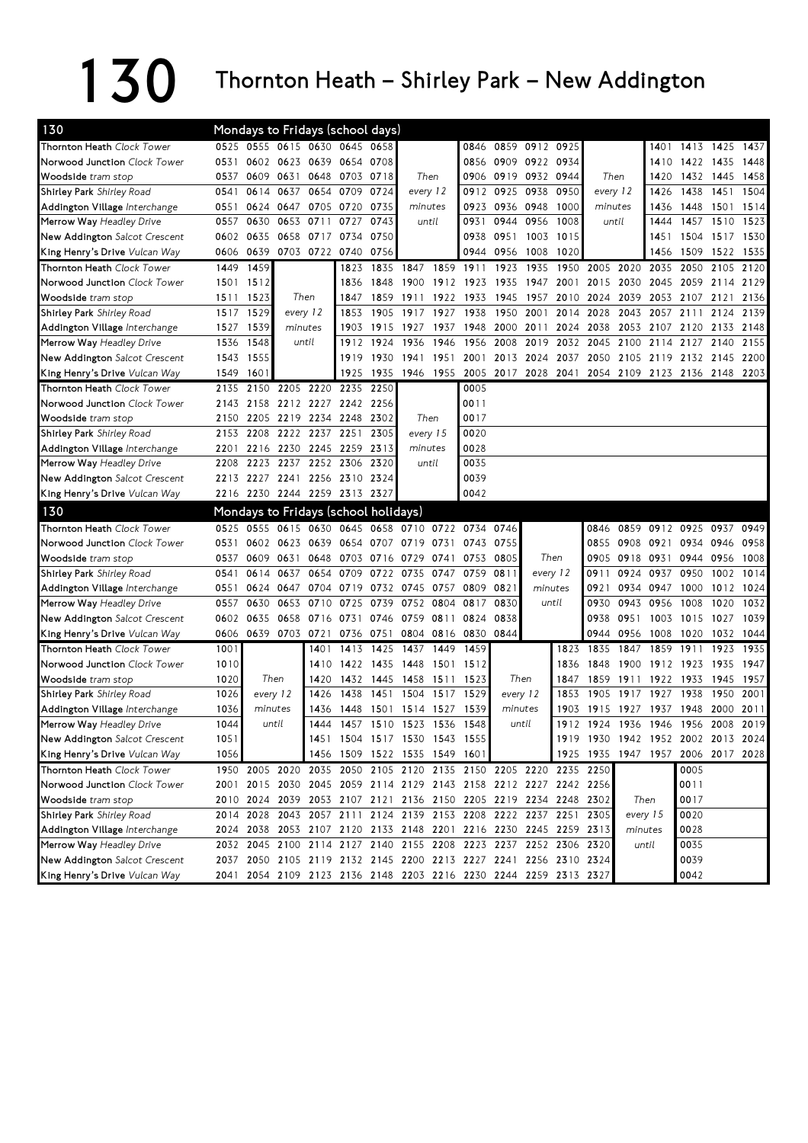## $130$  Thornton Heath – Shirley Park – New Addington

| 0525 0555 0615 0630 0645 0658<br>Thornton Heath Clock Tower<br>0859 0912 0925<br>0846<br>1401<br>Norwood Junction Clock Tower<br>0602 0623 0639 0654 0708<br>0909 0922 0934<br>0531<br>0856<br>1410<br>0609 0631 0648 0703 0718<br>Woodside tram stop<br>0537<br>Then<br>0906<br>0919 0932 0944<br>Then<br>1420<br>0654<br>0614 0637<br>0709<br>0724<br>every 12<br>0912<br>0925 0938<br>0950<br>1438<br>Shirley Park Shirley Road<br>0541<br>every 12<br>1426<br>0705 0720<br>0735<br>0936 0948<br>Addington Village Interchange<br>0551<br>0624 0647<br>minutes<br>0923<br>1000<br>1448<br>minutes<br>1436<br>0944 0956<br>Merrow Way Headley Drive<br>0630<br>0653<br>0711<br>0727<br>0743<br>until<br>0931<br>1008<br>until<br>0557<br>1444<br>New Addington Salcot Crescent<br>0602<br>0635<br>0658 0717<br>0734<br>0750<br>0938<br>0951 1003 1015<br>1451 | 1413 1425 1437<br>1422 1435 |      |
|-----------------------------------------------------------------------------------------------------------------------------------------------------------------------------------------------------------------------------------------------------------------------------------------------------------------------------------------------------------------------------------------------------------------------------------------------------------------------------------------------------------------------------------------------------------------------------------------------------------------------------------------------------------------------------------------------------------------------------------------------------------------------------------------------------------------------------------------------------------------|-----------------------------|------|
|                                                                                                                                                                                                                                                                                                                                                                                                                                                                                                                                                                                                                                                                                                                                                                                                                                                                 |                             |      |
|                                                                                                                                                                                                                                                                                                                                                                                                                                                                                                                                                                                                                                                                                                                                                                                                                                                                 |                             | 1448 |
|                                                                                                                                                                                                                                                                                                                                                                                                                                                                                                                                                                                                                                                                                                                                                                                                                                                                 | 1432 1445                   | 1458 |
|                                                                                                                                                                                                                                                                                                                                                                                                                                                                                                                                                                                                                                                                                                                                                                                                                                                                 | 1451                        | 1504 |
|                                                                                                                                                                                                                                                                                                                                                                                                                                                                                                                                                                                                                                                                                                                                                                                                                                                                 | 1501                        | 1514 |
|                                                                                                                                                                                                                                                                                                                                                                                                                                                                                                                                                                                                                                                                                                                                                                                                                                                                 | 1457 1510                   | 1523 |
|                                                                                                                                                                                                                                                                                                                                                                                                                                                                                                                                                                                                                                                                                                                                                                                                                                                                 | 1504 1517                   | 1530 |
| 0703 0722<br>King Henry's Drive Vulcan Way<br>0606<br>0639<br>0740 0756<br>0944<br>0956<br>1008<br>1020<br>1509<br>1456                                                                                                                                                                                                                                                                                                                                                                                                                                                                                                                                                                                                                                                                                                                                         | 1522                        | 1535 |
| Thornton Heath Clock Tower<br>1459<br>1859 1911<br>2035<br>1449<br>1823<br>1835<br>1847<br>1923<br>1935<br>1950<br>2005<br>2020<br>2050                                                                                                                                                                                                                                                                                                                                                                                                                                                                                                                                                                                                                                                                                                                         | 2105                        | 2120 |
| Norwood Junction Clock Tower<br>1912 1923<br>2015<br>2030<br>2045<br>2059<br>1501<br>1512<br>1836<br>1848<br>1900<br>1935 1947<br>2001                                                                                                                                                                                                                                                                                                                                                                                                                                                                                                                                                                                                                                                                                                                          | 2114                        | 2129 |
| 1523<br>Then<br>1922<br>1933<br>1945<br>2010<br>2024<br>2039<br>2053<br>Woodside tram stop<br>1511<br>1847<br>1859<br>1911<br>1957<br>2107                                                                                                                                                                                                                                                                                                                                                                                                                                                                                                                                                                                                                                                                                                                      | 2121                        | 2136 |
| 1529<br>1517<br>1853<br>1905<br>1917<br>1927<br>1938<br>1950<br>2001<br>2014<br>2028<br>2043<br>2057 2111<br><b>Shirley Park</b> Shirley Road<br>every 12                                                                                                                                                                                                                                                                                                                                                                                                                                                                                                                                                                                                                                                                                                       | 2124                        | 2139 |
| Addington Village <i>Interchange</i><br>1527<br>1539<br>minutes<br>1903<br>1915<br>1937<br>1948<br>2000<br>2024<br>2038<br>2053<br>2107<br>1927<br>2011<br>2120                                                                                                                                                                                                                                                                                                                                                                                                                                                                                                                                                                                                                                                                                                 | 2133                        | 2148 |
| Merrow Way Headley Drive<br>1536<br>1548<br>1924<br>1936<br>1946<br>1956<br>2008<br>2019<br>2032<br>2045<br>2100<br>2114<br>1912<br>2127<br>until                                                                                                                                                                                                                                                                                                                                                                                                                                                                                                                                                                                                                                                                                                               | 2140                        | 2155 |
| New Addington Salcot Crescent<br>1543<br>1555<br>1919<br>1930<br>1941<br>1951<br>2001<br>2013 2024<br>2037<br>2050 2105 2119 2132 2145 2200                                                                                                                                                                                                                                                                                                                                                                                                                                                                                                                                                                                                                                                                                                                     |                             |      |
| King Henry's Drive Vulcan Way<br>1946 1955 2005<br>1925 1935<br>2017 2028 2041 2054 2109 2123 2136 2148 2203<br>1549<br>1601                                                                                                                                                                                                                                                                                                                                                                                                                                                                                                                                                                                                                                                                                                                                    |                             |      |
| Thornton Heath Clock Tower<br>2205 2220<br>2235 2250<br>0005<br>2135<br>2150                                                                                                                                                                                                                                                                                                                                                                                                                                                                                                                                                                                                                                                                                                                                                                                    |                             |      |
| 2212 2227<br>2242 2256<br>0011<br>Norwood Junction Clock Tower<br>2158<br>2143                                                                                                                                                                                                                                                                                                                                                                                                                                                                                                                                                                                                                                                                                                                                                                                  |                             |      |
| 2205 2219<br>Then<br>0017<br>Woodside tram stop<br>2234<br>2248<br>2302<br>2150                                                                                                                                                                                                                                                                                                                                                                                                                                                                                                                                                                                                                                                                                                                                                                                 |                             |      |
| 2208<br>2222<br>2237<br>2251<br>2305<br>every 15<br>0020<br><b>Shirley Park</b> Shirley Road<br>2153                                                                                                                                                                                                                                                                                                                                                                                                                                                                                                                                                                                                                                                                                                                                                            |                             |      |
| 2216 2230<br>2245 2259<br>2313<br>0028<br>Addington Village Interchange<br>2201<br>minutes                                                                                                                                                                                                                                                                                                                                                                                                                                                                                                                                                                                                                                                                                                                                                                      |                             |      |
| Merrow Way Headley Drive<br>2223<br>2237<br>2252<br>2306 2320<br>until<br>0035<br>2208                                                                                                                                                                                                                                                                                                                                                                                                                                                                                                                                                                                                                                                                                                                                                                          |                             |      |
| New Addington Salcot Crescent<br>2227 2241 2256 2310 2324<br>0039<br>2213                                                                                                                                                                                                                                                                                                                                                                                                                                                                                                                                                                                                                                                                                                                                                                                       |                             |      |
| 2216 2230 2244 2259 2313 2327<br>King Henry's Drive Vulcan Way<br>0042                                                                                                                                                                                                                                                                                                                                                                                                                                                                                                                                                                                                                                                                                                                                                                                          |                             |      |
| 130<br>Mondays to Fridays (school holidays)                                                                                                                                                                                                                                                                                                                                                                                                                                                                                                                                                                                                                                                                                                                                                                                                                     |                             |      |
| Thornton Heath Clock Tower<br>0645 0658 0710 0722 0734<br>0525<br>0555<br>0615 0630<br>0859<br>0912<br>0925<br>0746<br>0846                                                                                                                                                                                                                                                                                                                                                                                                                                                                                                                                                                                                                                                                                                                                     | 0937                        | 0949 |
| Norwood Junction Clock Tower<br>0654 0707<br>0934<br>0531<br>0602<br>0623<br>0639<br>0719<br>0731<br>0743<br>0755<br>0855<br>0908 0921                                                                                                                                                                                                                                                                                                                                                                                                                                                                                                                                                                                                                                                                                                                          | 0946                        | 0958 |
| 0609<br>0631<br>0648<br>0703 0716<br>0741 0753<br>0805<br>Then<br>0918<br>0931<br>Woodside tram stop<br>0537<br>0729<br>0905                                                                                                                                                                                                                                                                                                                                                                                                                                                                                                                                                                                                                                                                                                                                    | 0944 0956                   | 1008 |
| 0614<br>0637<br>0654<br>0709<br>0735<br>0950<br>Shirley Park Shirley Road<br>0541<br>0722<br>0747<br>0759<br>0811<br>every 12<br>0911<br>0924<br>0937                                                                                                                                                                                                                                                                                                                                                                                                                                                                                                                                                                                                                                                                                                           | 1002                        | 1014 |
| 0821<br>Addington Village Interchange<br>0551<br>0624 0647<br>0704<br>0719<br>0732<br>0745<br>0757<br>0809<br>minutes<br>0921<br>0934<br>0947<br>1000                                                                                                                                                                                                                                                                                                                                                                                                                                                                                                                                                                                                                                                                                                           | 1012                        | 1024 |
|                                                                                                                                                                                                                                                                                                                                                                                                                                                                                                                                                                                                                                                                                                                                                                                                                                                                 | 1020                        | 1032 |
| Merrow Way Headley Drive<br>0557<br>0630<br>0653<br>0710<br>0725<br>0739<br>0752<br>0804<br>0817<br>0830<br>0930<br>0943<br>0956<br>1008<br>until                                                                                                                                                                                                                                                                                                                                                                                                                                                                                                                                                                                                                                                                                                               |                             |      |
| New Addington Salcot Crescent<br>0658 0716 0731<br>0759<br>0602 0635<br>0746<br>0811 0824<br>0838<br>0938<br>0951<br>1003                                                                                                                                                                                                                                                                                                                                                                                                                                                                                                                                                                                                                                                                                                                                       | 1015 1027                   | 1039 |
| King Henry's Drive Vulcan Way<br>0606 0639 0703 0721<br>0804 0816 0830<br>0844<br>0736 0751<br>0944<br>0956<br>1008                                                                                                                                                                                                                                                                                                                                                                                                                                                                                                                                                                                                                                                                                                                                             | 1020 1032 1044              |      |
| Thornton Heath Clock Tower<br>1001<br>1413<br>1425<br>1449<br>1459<br>1859<br>1911<br>1401<br>1437<br>1823<br>1835<br>1847                                                                                                                                                                                                                                                                                                                                                                                                                                                                                                                                                                                                                                                                                                                                      | 1923                        | 1935 |
| Norwood Junction Clock Tower<br>1010<br>1435<br>1448<br>1836<br>1848<br>1900<br>1912<br>1410<br>1422<br>1501<br>1512<br>1923                                                                                                                                                                                                                                                                                                                                                                                                                                                                                                                                                                                                                                                                                                                                    | 1935                        | 1947 |
| Then<br>Then<br>Woodside tram stop<br>1020<br>1432<br>1445 1458 1511<br>1523<br>1847<br>1859<br>1911<br>1922<br>1933<br>1420                                                                                                                                                                                                                                                                                                                                                                                                                                                                                                                                                                                                                                                                                                                                    | 1945                        | 1957 |
| 1026<br>1438<br>1451<br>1504<br>1517<br>1529<br>1917<br>1927<br>1938<br>Shirley Park Shirley Road<br>every 12<br>1426<br>every 12<br>1853<br>1905                                                                                                                                                                                                                                                                                                                                                                                                                                                                                                                                                                                                                                                                                                               | 1950                        | 2001 |
| 1036<br>1436<br>1448<br>1501<br>1514 1527<br>1539<br>1903<br>1915 1927<br>1937<br>1948<br>minutes<br>minutes                                                                                                                                                                                                                                                                                                                                                                                                                                                                                                                                                                                                                                                                                                                                                    | 2000                        | 2011 |
| Addington Village Interchange<br>1044<br>1523<br>Merrow Way Headley Drive<br>until<br>1444<br>1457<br>1510<br>1536<br>1548<br>until<br>1912<br>1924<br>1936<br>1946<br>1956                                                                                                                                                                                                                                                                                                                                                                                                                                                                                                                                                                                                                                                                                     | 2008                        | 2019 |
| 1051                                                                                                                                                                                                                                                                                                                                                                                                                                                                                                                                                                                                                                                                                                                                                                                                                                                            |                             |      |
| 1919 1930 1942 1952 2002 2013 2024<br>New Addington Salcot Crescent<br>1451 1504 1517 1530 1543 1555                                                                                                                                                                                                                                                                                                                                                                                                                                                                                                                                                                                                                                                                                                                                                            |                             |      |
| 1056<br>1456 1509 1522 1535 1549 1601<br>1925 1935 1947 1957 2006 2017 2028<br>King Henry's Drive Vulcan Way                                                                                                                                                                                                                                                                                                                                                                                                                                                                                                                                                                                                                                                                                                                                                    |                             |      |
| 1950 2005 2020 2035 2050 2105 2120 2135 2150 2205 2220 2235 2250<br>Thornton Heath Clock Tower<br>0005                                                                                                                                                                                                                                                                                                                                                                                                                                                                                                                                                                                                                                                                                                                                                          |                             |      |
| 2001 2015 2030 2045 2059 2114 2129 2143 2158 2212 2227 2242 2256<br>Norwood Junction Clock Tower<br>0011<br>2010 2024 2039 2053 2107 2121 2136 2150 2205 2219 2234 2248 2302<br>Then<br>0017                                                                                                                                                                                                                                                                                                                                                                                                                                                                                                                                                                                                                                                                    |                             |      |
| Woodside tram stop<br>2014 2028 2043 2057 2111 2124 2139 2153 2208 2222 2237 2251 2305<br>every 15<br>0020                                                                                                                                                                                                                                                                                                                                                                                                                                                                                                                                                                                                                                                                                                                                                      |                             |      |
| Shirley Park Shirley Road<br>Addington Village Interchange<br>2024 2038 2053 2107 2120 2133 2148 2201 2216 2230 2245 2259 2313<br>0028<br>minutes                                                                                                                                                                                                                                                                                                                                                                                                                                                                                                                                                                                                                                                                                                               |                             |      |
| 2032 2045 2100 2114 2127 2140 2155 2208 2223 2237 2252 2306 2320<br>0035<br>until                                                                                                                                                                                                                                                                                                                                                                                                                                                                                                                                                                                                                                                                                                                                                                               |                             |      |
| Merrow Way Headley Drive<br>2037 2050 2105 2119 2132 2145 2200 2213 2227 2241 2256 2310 2324<br>0039<br>New Addington Salcot Crescent                                                                                                                                                                                                                                                                                                                                                                                                                                                                                                                                                                                                                                                                                                                           |                             |      |